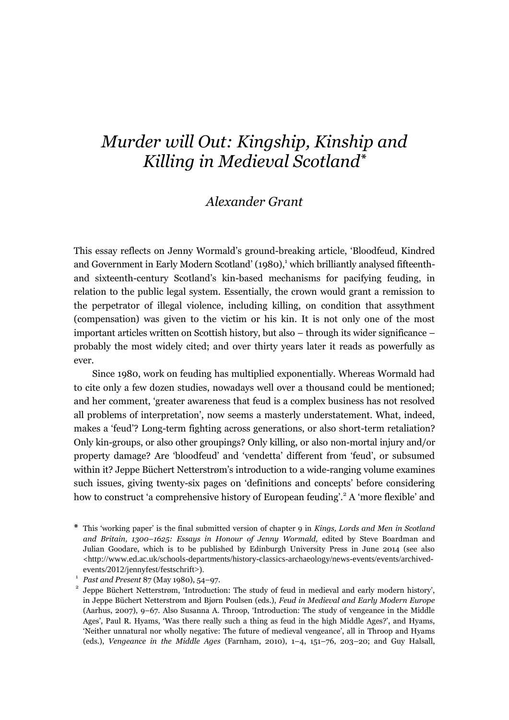# *Murder will Out: Kingship, Kinship and Killing in Medieval Scotland\**

# *Alexander Grant*

This essay reflects on Jenny Wormald's ground-breaking article, 'Bloodfeud, Kindred and Government in Early Modern Scotland' (1980),<sup>1</sup> which brilliantly analysed fifteenthand sixteenth-century Scotland's kin-based mechanisms for pacifying feuding, in relation to the public legal system. Essentially, the crown would grant a remission to the perpetrator of illegal violence, including killing, on condition that assythment (compensation) was given to the victim or his kin. It is not only one of the most important articles written on Scottish history, but also – through its wider significance – probably the most widely cited; and over thirty years later it reads as powerfully as ever.

Since 1980, work on feuding has multiplied exponentially. Whereas Wormald had to cite only a few dozen studies, nowadays well over a thousand could be mentioned; and her comment, 'greater awareness that feud is a complex business has not resolved all problems of interpretation', now seems a masterly understatement. What, indeed, makes a 'feud'? Long-term fighting across generations, or also short-term retaliation? Only kin-groups, or also other groupings? Only killing, or also non-mortal injury and/or property damage? Are 'bloodfeud' and 'vendetta' different from 'feud', or subsumed within it? Jeppe Büchert Netterstrøm's introduction to a wide-ranging volume examines such issues, giving twenty-six pages on 'definitions and concepts' before considering how to construct 'a comprehensive history of European feuding'.<sup>2</sup> A 'more flexible' and

**<sup>\*</sup>** This 'working paper' is the final submitted version of chapter 9 in *Kings, Lords and Men in Scotland and Britain, 1300–1625: Essays in Honour of Jenny Wormald,* edited by Steve Boardman and Julian Goodare, which is to be published by Edinburgh University Press in June 2014 (see also  $\text{http://www.ed.ac.uk/schools-departments/history-classics-archaeology/news-events/events/archived-}$ events/2012/jennyfest/festschrift>).

<sup>1</sup> *Past and Present* 87 (May 1980), 54–97.

<sup>&</sup>lt;sup>2</sup> Jeppe Büchert Netterstrøm, 'Introduction: The study of feud in medieval and early modern history', in Jeppe Büchert Netterstrøm and Bjørn Poulsen (eds.), *Feud in Medieval and Early Modern Europe* (Aarhus, 2007), 9–67. Also Susanna A. Throop, 'Introduction: The study of vengeance in the Middle Ages', Paul R. Hyams, 'Was there really such a thing as feud in the high Middle Ages?', and Hyams, 'Neither unnatural nor wholly negative: The future of medieval vengeance', all in Throop and Hyams (eds.), *Vengeance in the Middle Ages* (Farnham, 2010), 1–4, 151–76, 203–20; and Guy Halsall,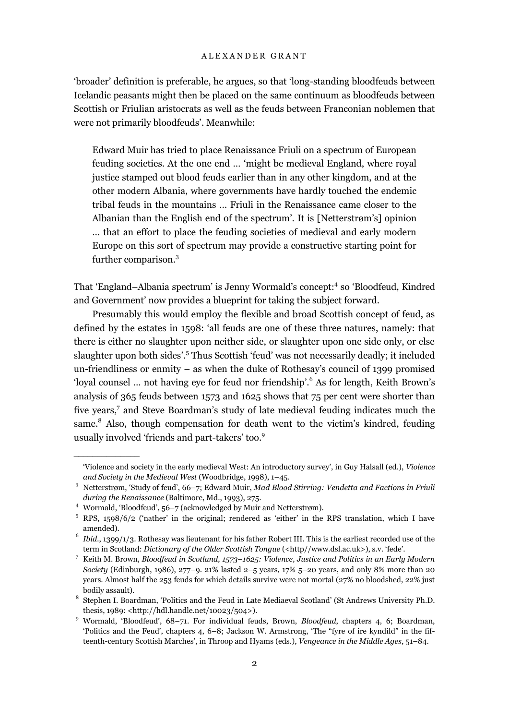'broader' definition is preferable, he argues, so that 'long-standing bloodfeuds between Icelandic peasants might then be placed on the same continuum as bloodfeuds between Scottish or Friulian aristocrats as well as the feuds between Franconian noblemen that were not primarily bloodfeuds'. Meanwhile:

Edward Muir has tried to place Renaissance Friuli on a spectrum of European feuding societies. At the one end … 'might be medieval England, where royal justice stamped out blood feuds earlier than in any other kingdom, and at the other modern Albania, where governments have hardly touched the endemic tribal feuds in the mountains … Friuli in the Renaissance came closer to the Albanian than the English end of the spectrum'. It is [Netterstrøm's] opinion … that an effort to place the feuding societies of medieval and early modern Europe on this sort of spectrum may provide a constructive starting point for further comparison.<sup>3</sup>

That 'England–Albania spectrum' is Jenny Wormald's concept:<sup>4</sup> so 'Bloodfeud, Kindred and Government' now provides a blueprint for taking the subject forward.

Presumably this would employ the flexible and broad Scottish concept of feud, as defined by the estates in 1598: 'all feuds are one of these three natures, namely: that there is either no slaughter upon neither side, or slaughter upon one side only, or else slaughter upon both sides'.<sup>5</sup> Thus Scottish 'feud' was not necessarily deadly; it included un-friendliness or enmity – as when the duke of Rothesay's council of 1399 promised 'loyal counsel … not having eye for feud nor friendship'.<sup>6</sup> As for length, Keith Brown's analysis of 365 feuds between 1573 and 1625 shows that 75 per cent were shorter than five years,<sup>7</sup> and Steve Boardman's study of late medieval feuding indicates much the same.<sup>8</sup> Also, though compensation for death went to the victim's kindred, feuding usually involved 'friends and part-takers' too.<sup>9</sup>

<sup>&#</sup>x27;Violence and society in the early medieval West: An introductory survey', in Guy Halsall (ed.), *Violence and Society in the Medieval West* (Woodbridge, 1998), 1–45.

<sup>3</sup> Netterstrøm, 'Study of feud', 66–7; Edward Muir, *Mad Blood Stirring: Vendetta and Factions in Friuli during the Renaissance* (Baltimore, Md., 1993), 275.

<sup>4</sup> Wormald, 'Bloodfeud', 56–7 (acknowledged by Muir and Netterstrøm).

<sup>5</sup> RPS, 1598/6/2 ('nather' in the original; rendered as 'either' in the RPS translation, which I have amended).

 $6$  *Ibid.*, 1399/1/3. Rothesay was lieutenant for his father Robert III. This is the earliest recorded use of the term in Scotland: *Dictionary of the Older Scottish Tonque* (<http//www.dsl.ac.uk>), s.v. 'fede'.

<sup>7</sup> Keith M. Brown, *Bloodfeud in Scotland, 1573–1625: Violence, Justice and Politics in an Early Modern Society* (Edinburgh, 1986), 277–9. 21% lasted 2–5 years, 17% 5–20 years, and only 8% more than 20 years. Almost half the 253 feuds for which details survive were not mortal (27% no bloodshed, 22% just bodily assault).

<sup>&</sup>lt;sup>8</sup> Stephen I. Boardman, 'Politics and the Feud in Late Mediaeval Scotland' (St Andrews University Ph.D. thesis, 1989: <http://hdl.handle.net/10023/504>).

<sup>9</sup> Wormald, 'Bloodfeud', 68–71. For individual feuds, Brown, *Bloodfeud*, chapters 4, 6; Boardman, 'Politics and the Feud', chapters 4, 6–8; Jackson W. Armstrong, 'The "fyre of ire kyndild" in the fifteenth-century Scottish Marches', in Throop and Hyams (eds.), *Vengeance in the Middle Ages*, 51–84.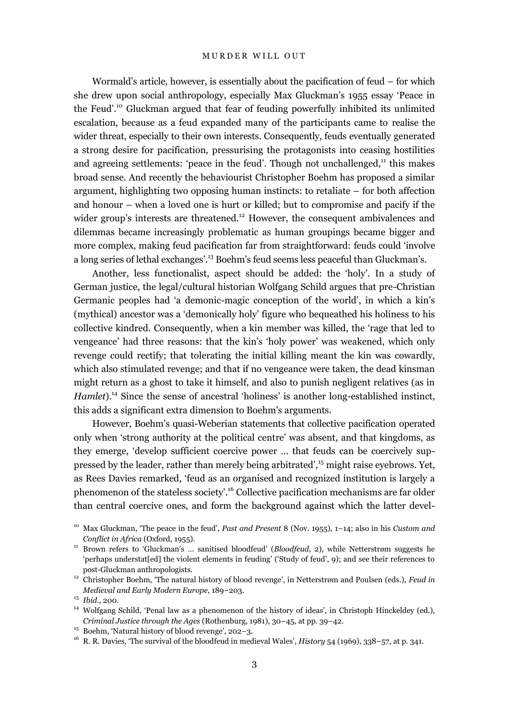#### MURDER WILL OUT

Wormald's article, however, is essentially about the pacification of feud – for which she drew upon social anthropology, especially Max Gluckman's 1955 essay 'Peace in the Feud'.<sup>10</sup> Gluckman argued that fear of feuding powerfully inhibited its unlimited escalation, because as a feud expanded many of the participants came to realise the wider threat, especially to their own interests. Consequently, feuds eventually generated a strong desire for pacification, pressurising the protagonists into ceasing hostilities and agreeing settlements: 'peace in the feud'. Though not unchallenged,<sup>11</sup> this makes broad sense. And recently the behaviourist Christopher Boehm has proposed a similar argument, highlighting two opposing human instincts: to retaliate – for both affection and honour – when a loved one is hurt or killed; but to compromise and pacify if the wider group's interests are threatened.<sup>12</sup> However, the consequent ambivalences and dilemmas became increasingly problematic as human groupings became bigger and more complex, making feud pacification far from straightforward: feuds could 'involve a long series of lethal exchanges'.<sup>13</sup> Boehm's feud seems less peaceful than Gluckman's.

Another, less functionalist, aspect should be added: the 'holy'. In a study of German justice, the legal/cultural historian Wolfgang Schild argues that pre-Christian Germanic peoples had 'a demonic-magic conception of the world', in which a kin's (mythical) ancestor was a 'demonically holy' figure who bequeathed his holiness to his collective kindred. Consequently, when a kin member was killed, the 'rage that led to vengeance' had three reasons: that the kin's 'holy power' was weakened, which only revenge could rectify; that tolerating the initial killing meant the kin was cowardly, which also stimulated revenge; and that if no vengeance were taken, the dead kinsman might return as a ghost to take it himself, and also to punish negligent relatives (as in *Hamlet*).<sup>14</sup> Since the sense of ancestral 'holiness' is another long-established instinct, this adds a significant extra dimension to Boehm's arguments.

However, Boehm's quasi-Weberian statements that collective pacification operated only when 'strong authority at the political centre' was absent, and that kingdoms, as they emerge, 'develop sufficient coercive power … that feuds can be coercively suppressed by the leader, rather than merely being arbitrated',<sup>15</sup> might raise eyebrows. Yet, as Rees Davies remarked, 'feud as an organised and recognized institution is largely a phenomenon of the stateless society'.<sup>16</sup> Collective pacification mechanisms are far older than central coercive ones, and form the background against which the latter devel-

<sup>10</sup> Max Gluckman, 'The peace in the feud', *Past and Present* 8 (Nov. 1955), 1–14; also in his *Custom and Conflict in Africa* (Oxford, 1955).

<sup>&</sup>lt;sup>11</sup> Brown refers to 'Gluckman's ... sanitised bloodfeud' (*Bloodfeud*, 2), while Netterstrøm suggests he 'perhaps understat[ed] the violent elements in feuding' ('Study of feud', 9); and see their references to post-Gluckman anthropologists.

<sup>&</sup>lt;sup>12</sup> Christopher Boehm, 'The natural history of blood revenge', in Netterstrøm and Poulsen (eds.), *Feud in Medieval and Early Modern Europe*, 189–203.

<sup>13</sup> *Ibid*., 200.

<sup>&</sup>lt;sup>14</sup> Wolfgang Schild, 'Penal law as a phenomenon of the history of ideas', in Christoph Hinckeldey (ed.), *Criminal Justice through the Ages* (Rothenburg, 1981), 30–45, at pp. 39–42.

<sup>&</sup>lt;sup>15</sup> Boehm, 'Natural history of blood revenge',  $202-3$ .

<sup>&</sup>lt;sup>16</sup> R. R. Davies, 'The survival of the bloodfeud in medieval Wales', *History* 54 (1969), 338–57, at p. 341.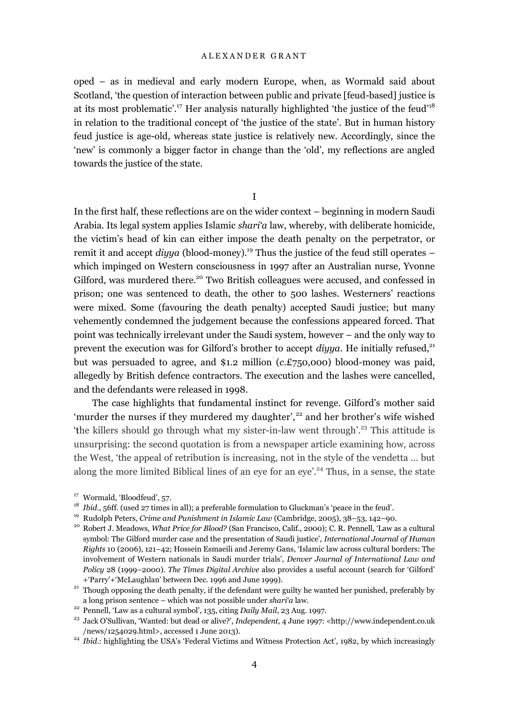oped – as in medieval and early modern Europe, when, as Wormald said about Scotland, 'the question of interaction between public and private [feud-based] justice is at its most problematic'.<sup>17</sup> Her analysis naturally highlighted 'the justice of the feud'<sup>18</sup> in relation to the traditional concept of 'the justice of the state'. But in human history feud justice is age-old, whereas state justice is relatively new. Accordingly, since the 'new' is commonly a bigger factor in change than the 'old', my reflections are angled towards the justice of the state.

I

In the first half, these reflections are on the wider context – beginning in modern Saudi Arabia. Its legal system applies Islamic *shari'a* law, whereby, with deliberate homicide, the victim's head of kin can either impose the death penalty on the perpetrator, or remit it and accept  $diyya$  (blood-money).<sup>19</sup> Thus the justice of the feud still operates – which impinged on Western consciousness in 1997 after an Australian nurse, Yvonne Gilford, was murdered there.<sup>20</sup> Two British colleagues were accused, and confessed in prison; one was sentenced to death, the other to 500 lashes. Westerners' reactions were mixed. Some (favouring the death penalty) accepted Saudi justice; but many vehemently condemned the judgement because the confessions appeared forced. That point was technically irrelevant under the Saudi system, however – and the only way to prevent the execution was for Gilford's brother to accept *diyya*. He initially refused,<sup>21</sup> but was persuaded to agree, and \$1.2 million (*c*.£750,000) blood-money was paid, allegedly by British defence contractors. The execution and the lashes were cancelled, and the defendants were released in 1998.

The case highlights that fundamental instinct for revenge. Gilford's mother said 'murder the nurses if they murdered my daughter', $22$  and her brother's wife wished 'the killers should go through what my sister-in-law went through'.<sup>23</sup> This attitude is unsurprising: the second quotation is from a newspaper article examining how, across the West, 'the appeal of retribution is increasing, not in the style of the vendetta … but along the more limited Biblical lines of an eye for an eye'.<sup>24</sup> Thus, in a sense, the state

<sup>17</sup> Wormald, 'Bloodfeud', 57.

<sup>&</sup>lt;sup>18</sup> *Ibid.*, 56ff. (used 27 times in all); a preferable formulation to Gluckman's 'peace in the feud'.

<sup>19</sup> Rudolph Peters, *Crime and Punishment in Islamic Law* (Cambridge, 2005), 38–53, 142–90.

<sup>&</sup>lt;sup>20</sup> Robert J. Meadows, *What Price for Blood?* (San Francisco, Calif., 2000); C. R. Pennell, 'Law as a cultural symbol: The Gilford murder case and the presentation of Saudi justice', *International Journal of Human Rights* 10 (2006), 121–42; Hossein Esmaeili and Jeremy Gans, 'Islamic law across cultural borders: The involvement of Western nationals in Saudi murder trials', *Denver Journal of International Law and Policy* 28 (1999–2000). *The Times Digital Archive* also provides a useful account (search for 'Gilford' +'Parry'+'McLaughlan' between Dec. 1996 and June 1999).

<sup>&</sup>lt;sup>21</sup> Though opposing the death penalty, if the defendant were guilty he wanted her punished, preferably by a long prison sentence – which was not possible under *shari'a* law.

<sup>22</sup> Pennell, 'Law as a cultural symbol', 135, citing *Daily Mail*, 23 Aug. 1997.

<sup>23</sup> Jack O'Sullivan, 'Wanted: but dead or alive?', *Independent*, 4 June 1997: <http://www.independent.co.uk /news/1254029.html>, accessed 1 June 2013).

<sup>&</sup>lt;sup>24</sup> *Ibid.*: highlighting the USA's 'Federal Victims and Witness Protection Act', 1982, by which increasingly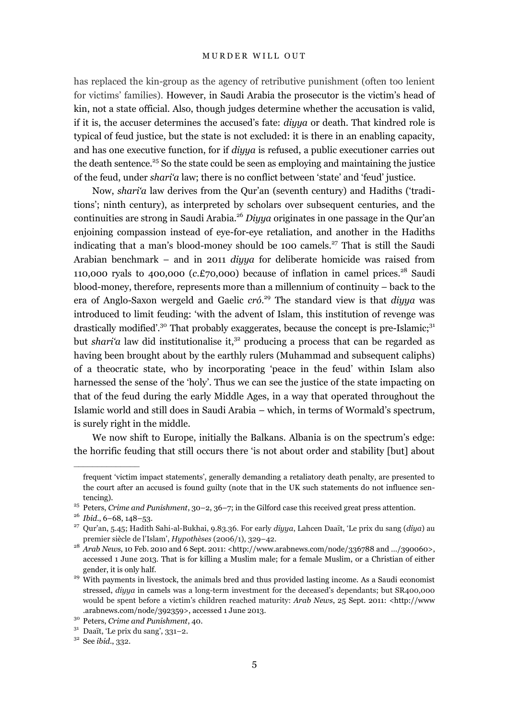#### MURDER WILL OUT

has replaced the kin-group as the agency of retributive punishment (often too lenient for victims' families). However, in Saudi Arabia the prosecutor is the victim's head of kin, not a state official. Also, though judges determine whether the accusation is valid, if it is, the accuser determines the accused's fate: *diyya* or death. That kindred role is typical of feud justice, but the state is not excluded: it is there in an enabling capacity, and has one executive function, for if *diyya* is refused, a public executioner carries out the death sentence. $^{25}$  So the state could be seen as employing and maintaining the justice of the feud, under *shari'a* law; there is no conflict between 'state' and 'feud' justice.

Now, *shari'a* law derives from the Qur'an (seventh century) and Hadiths ('traditions'; ninth century), as interpreted by scholars over subsequent centuries, and the continuities are strong in Saudi Arabia.<sup>26</sup> *Diyya* originates in one passage in the Qur'an enjoining compassion instead of eye-for-eye retaliation, and another in the Hadiths indicating that a man's blood-money should be 100 camels.<sup>27</sup> That is still the Saudi Arabian benchmark – and in 2011 *diyya* for deliberate homicide was raised from 110,000 ryals to 400,000 ( $c.\text{\textsterling}70,000$ ) because of inflation in camel prices.<sup>28</sup> Saudi blood-money, therefore, represents more than a millennium of continuity – back to the era of Anglo-Saxon wergeld and Gaelic *cró*. <sup>29</sup> The standard view is that *diyya* was introduced to limit feuding: 'with the advent of Islam, this institution of revenge was drastically modified'.<sup>30</sup> That probably exaggerates, because the concept is pre-Islamic;<sup>31</sup> but *shari'a* law did institutionalise it,<sup>32</sup> producing a process that can be regarded as having been brought about by the earthly rulers (Muhammad and subsequent caliphs) of a theocratic state, who by incorporating 'peace in the feud' within Islam also harnessed the sense of the 'holy'. Thus we can see the justice of the state impacting on that of the feud during the early Middle Ages, in a way that operated throughout the Islamic world and still does in Saudi Arabia – which, in terms of Wormald's spectrum, is surely right in the middle.

We now shift to Europe, initially the Balkans. Albania is on the spectrum's edge: the horrific feuding that still occurs there 'is not about order and stability [but] about

frequent 'victim impact statements', generally demanding a retaliatory death penalty, are presented to the court after an accused is found guilty (note that in the UK such statements do not influence sentencing).

<sup>25</sup> Peters, *Crime and Punishment*, 30–2, 36–7; in the Gilford case this received great press attention.

<sup>26</sup> *Ibid*., 6–68, 148–53.

<sup>27</sup> Qur'an, 5.45; Hadith Sahi-al-Bukhai, 9.83.36. For early *diyya*, Lahcen Daaït, 'Le prix du sang (*diya*) au premier siècle de l'Islam', *Hypothèses* (2006/1), 329–42.

<sup>&</sup>lt;sup>28</sup> *Arab News*, 10 Feb. 2010 and 6 Sept. 2011: <http://www.arabnews.com/node/336788 and .../390060>, accessed 1 June 2013. That is for killing a Muslim male; for a female Muslim, or a Christian of either gender, it is only half.

<sup>&</sup>lt;sup>29</sup> With payments in livestock, the animals bred and thus provided lasting income. As a Saudi economist stressed, *diyya* in camels was a long-term investment for the deceased's dependants; but SR400,000 would be spent before a victim's children reached maturity: *Arab News*, 25 Sept. 2011: <http://www .arabnews.com/node/392359>, accessed 1 June 2013.

<sup>30</sup> Peters, *Crime and Punishment*, 40.

 $31$  Daaït, 'Le prix du sang', 331-2.

<sup>32</sup> See *ibid*., 332.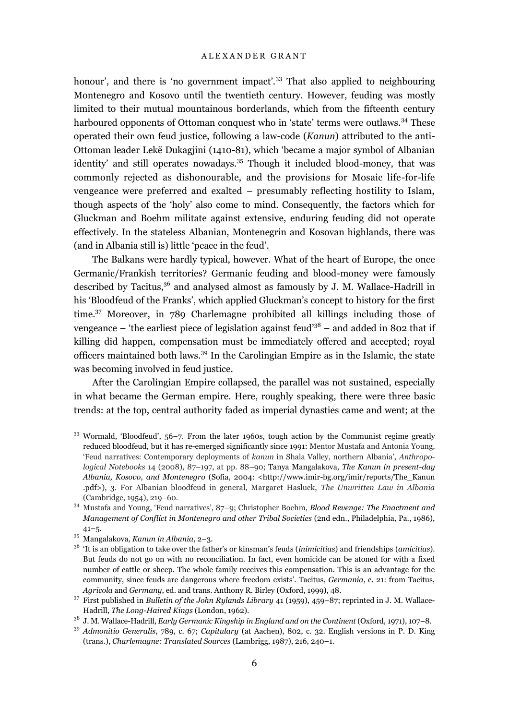honour', and there is 'no government impact'.<sup>33</sup> That also applied to neighbouring Montenegro and Kosovo until the twentieth century. However, feuding was mostly limited to their mutual mountainous borderlands, which from the fifteenth century harboured opponents of Ottoman conquest who in 'state' terms were outlaws.<sup>34</sup> These operated their own feud justice, following a law-code (*Kanun*) attributed to the anti-Ottoman leader Lekë Dukagjini (1410-81), which 'became a major symbol of Albanian identity' and still operates nowadays.<sup>35</sup> Though it included blood-money, that was commonly rejected as dishonourable, and the provisions for Mosaic life-for-life vengeance were preferred and exalted – presumably reflecting hostility to Islam, though aspects of the 'holy' also come to mind. Consequently, the factors which for Gluckman and Boehm militate against extensive, enduring feuding did not operate effectively. In the stateless Albanian, Montenegrin and Kosovan highlands, there was (and in Albania still is) little 'peace in the feud'.

The Balkans were hardly typical, however. What of the heart of Europe, the once Germanic/Frankish territories? Germanic feuding and blood-money were famously described by Tacitus,<sup>36</sup> and analysed almost as famously by J. M. Wallace-Hadrill in his 'Bloodfeud of the Franks', which applied Gluckman's concept to history for the first time. <sup>37</sup> Moreover, in 789 Charlemagne prohibited all killings including those of vengeance – 'the earliest piece of legislation against feud' $3^8$  – and added in 802 that if killing did happen, compensation must be immediately offered and accepted; royal officers maintained both laws.<sup>39</sup> In the Carolingian Empire as in the Islamic, the state was becoming involved in feud justice.

After the Carolingian Empire collapsed, the parallel was not sustained, especially in what became the German empire. Here, roughly speaking, there were three basic trends: at the top, central authority faded as imperial dynasties came and went; at the

<sup>33</sup> Wormald, 'Bloodfeud', 56–7. From the later 1960s, tough action by the Communist regime greatly reduced bloodfeud, but it has re-emerged significantly since 1991: Mentor Mustafa and Antonia Young, 'Feud narratives: Contemporary deployments of *kanun* in Shala Valley, northern Albania', *Anthropological Notebooks* 14 (2008), 87–197, at pp. 88–90; Tanya Mangalakova, *The Kanun in present-day Albania, Kosovo, and Montenegro* (Sofia, 2004: <http://www.imir-bg.org/imir/reports/The Kanun .pdf>), 3. For Albanian bloodfeud in general, Margaret Hasluck, *The Unwritten Law in Albania* (Cambridge, 1954), 219–60.

<sup>34</sup> Mustafa and Young, 'Feud narratives', 87–9; Christopher Boehm, *Blood Revenge: The Enactment and Management of Conflict in Montenegro and other Tribal Societies* (2nd edn., Philadelphia, Pa., 1986), 41–5.

<sup>35</sup> Mangalakova, *Kanun in Albania*, 2–3.

<sup>36</sup> 'It is an obligation to take over the father's or kinsman's feuds (*inimicitias*) and friendships (*amicitias*). But feuds do not go on with no reconciliation. In fact, even homicide can be atoned for with a fixed number of cattle or sheep. The whole family receives this compensation. This is an advantage for the community, since feuds are dangerous where freedom exists'. Tacitus, *Germania*, c. 21: from Tacitus, *Agricola* and *Germany*, ed. and trans. Anthony R. Birley (Oxford, 1999), 48.

<sup>37</sup> First published in *Bulletin of the John Rylands Library* 41 (1959), 459–87; reprinted in J. M. Wallace-Hadrill, *The Long-Haired Kings* (London, 1962).

<sup>&</sup>lt;sup>38</sup> J. M. Wallace-Hadrill, *Early Germanic Kingship in England and on the Continent* (Oxford, 1971), 107–8.

<sup>39</sup> *Admonitio Generalis*, 789, c. 67; *Capitulary* (at Aachen), 802, c. 32. English versions in P. D. King (trans.), *Charlemagne: Translated Sources* (Lambrigg, 1987), 216, 240–1.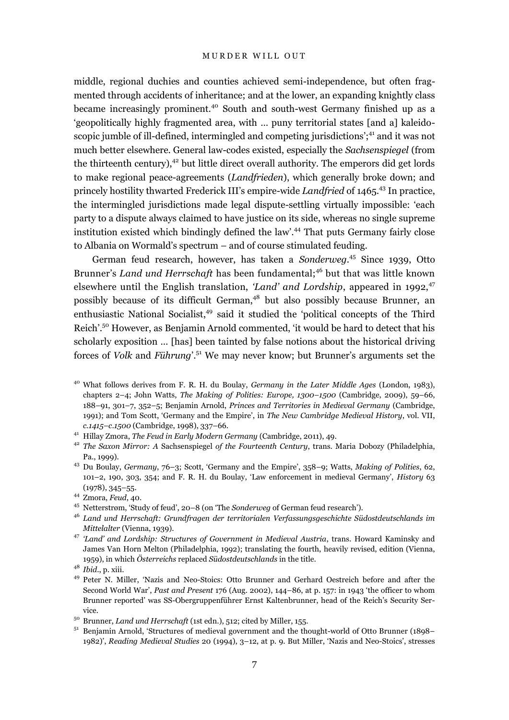middle, regional duchies and counties achieved semi-independence, but often fragmented through accidents of inheritance; and at the lower, an expanding knightly class became increasingly prominent.<sup>40</sup> South and south-west Germany finished up as a 'geopolitically highly fragmented area, with … puny territorial states [and a] kaleidoscopic jumble of ill-defined, intermingled and competing jurisdictions';<sup>41</sup> and it was not much better elsewhere. General law-codes existed, especially the *Sachsenspiegel* (from the thirteenth century), $42$  but little direct overall authority. The emperors did get lords to make regional peace-agreements (*Landfrieden*), which generally broke down; and princely hostility thwarted Frederick III's empire-wide *Landfried* of 1465.<sup>43</sup> In practice, the intermingled jurisdictions made legal dispute-settling virtually impossible: 'each party to a dispute always claimed to have justice on its side, whereas no single supreme institution existed which bindingly defined the law'.<sup>44</sup> That puts Germany fairly close to Albania on Wormald's spectrum – and of course stimulated feuding.

German feud research, however, has taken a *Sonderweg*. <sup>45</sup> Since 1939, Otto Brunner's *Land und Herrschaft* has been fundamental;<sup>46</sup> but that was little known elsewhere until the English translation, *'Land' and Lordship*, appeared in 1992,<sup>47</sup> possibly because of its difficult German,<sup>48</sup> but also possibly because Brunner, an enthusiastic National Socialist,<sup>49</sup> said it studied the 'political concepts of the Third Reich'.<sup>50</sup> However, as Benjamin Arnold commented, 'it would be hard to detect that his scholarly exposition … [has] been tainted by false notions about the historical driving forces of *Volk* and *Führung*'.<sup>51</sup> We may never know; but Brunner's arguments set the

<sup>41</sup> Hillay Zmora, *The Feud in Early Modern Germany* (Cambridge, 2011), 49.

- <sup>43</sup> Du Boulay, *Germany*, 76–3; Scott, 'Germany and the Empire', 358–9; Watts, *Making of Polities*, 62, 101–2, 190, 303, 354; and F. R. H. du Boulay, 'Law enforcement in medieval Germany', *History* 63 (1978), 345–55.
- <sup>44</sup> Zmora, *Feud*, 40.
- <sup>45</sup> Netterstrøm, 'Study of feud', 20–8 (on 'The *Sonderweg* of German feud research').
- <sup>46</sup> *Land und Herrschaft: Grundfragen der territorialen Verfassungsgeschichte Südostdeutschlands im Mittelalter* (Vienna, 1939).
- <sup>47</sup> *'Land' and Lordship: Structures of Government in Medieval Austria*, trans. Howard Kaminsky and James Van Horn Melton (Philadelphia, 1992); translating the fourth, heavily revised, edition (Vienna, 1959), in which *Österreichs* replaced *Südostdeutschlands* in the title.

- <sup>49</sup> Peter N. Miller, 'Nazis and Neo-Stoics: Otto Brunner and Gerhard Oestreich before and after the Second World War', *Past and Present* 176 (Aug. 2002), 144–86, at p. 157: in 1943 'the officer to whom Brunner reported' was SS-Obergruppenführer Ernst Kaltenbrunner, head of the Reich's Security Service.
- <sup>50</sup> Brunner, *Land und Herrschaft* (1st edn.), 512; cited by Miller, 155.
- <sup>51</sup> Benjamin Arnold, 'Structures of medieval government and the thought-world of Otto Brunner (1898– 1982)', *Reading Medieval Studies* 20 (1994), 3–12, at p. 9. But Miller, 'Nazis and Neo-Stoics', stresses

<sup>40</sup> What follows derives from F. R. H. du Boulay, *Germany in the Later Middle Ages* (London, 1983), chapters 2–4; John Watts, *The Making of Polities: Europe, 1300–1500* (Cambridge, 2009), 59–66, 188–91, 301–7, 352–5; Benjamin Arnold, *Princes and Territories in Medieval Germany* (Cambridge, 1991); and Tom Scott, 'Germany and the Empire', in *The New Cambridge Medieval History*, vol. VII, *c.1415–c*.*1500* (Cambridge, 1998), 337–66.

<sup>42</sup> *The Saxon Mirror: A* Sachsenspiegel *of the Fourteenth Century*, trans. Maria Dobozy (Philadelphia, Pa., 1999).

<sup>48</sup> *Ibid*., p. xiii.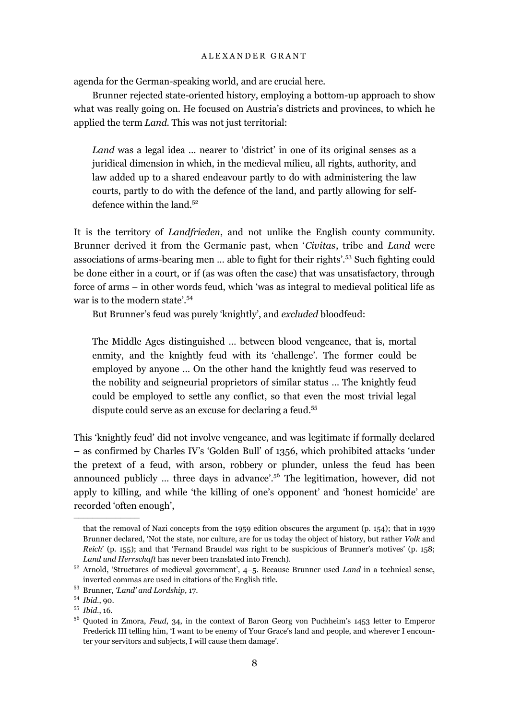agenda for the German-speaking world, and are crucial here.

Brunner rejected state-oriented history, employing a bottom-up approach to show what was really going on. He focused on Austria's districts and provinces, to which he applied the term *Land*. This was not just territorial:

*Land* was a legal idea … nearer to 'district' in one of its original senses as a juridical dimension in which, in the medieval milieu, all rights, authority, and law added up to a shared endeavour partly to do with administering the law courts, partly to do with the defence of the land, and partly allowing for selfdefence within the land.<sup>52</sup>

It is the territory of *Landfrieden*, and not unlike the English county community. Brunner derived it from the Germanic past, when '*Civitas*, tribe and *Land* were associations of arms-bearing men … able to fight for their rights'.<sup>53</sup> Such fighting could be done either in a court, or if (as was often the case) that was unsatisfactory, through force of arms – in other words feud, which 'was as integral to medieval political life as war is to the modern state'.<sup>54</sup>

But Brunner's feud was purely 'knightly', and *excluded* bloodfeud:

The Middle Ages distinguished … between blood vengeance, that is, mortal enmity, and the knightly feud with its 'challenge'. The former could be employed by anyone … On the other hand the knightly feud was reserved to the nobility and seigneurial proprietors of similar status … The knightly feud could be employed to settle any conflict, so that even the most trivial legal dispute could serve as an excuse for declaring a feud.<sup>55</sup>

This 'knightly feud' did not involve vengeance, and was legitimate if formally declared – as confirmed by Charles IV's 'Golden Bull' of 1356, which prohibited attacks 'under the pretext of a feud, with arson, robbery or plunder, unless the feud has been announced publicly ... three days in advance'.<sup>56</sup> The legitimation, however, did not apply to killing, and while 'the killing of one's opponent' and 'honest homicide' are recorded 'often enough',

that the removal of Nazi concepts from the 1959 edition obscures the argument (p. 154); that in 1939 Brunner declared, 'Not the state, nor culture, are for us today the object of history, but rather *Volk* and *Reich*' (p. 155); and that 'Fernand Braudel was right to be suspicious of Brunner's motives' (p. 158; *Land und Herrschaft* has never been translated into French).

<sup>52</sup> Arnold, 'Structures of medieval government', 4–5. Because Brunner used *Land* in a technical sense, inverted commas are used in citations of the English title.

<sup>53</sup> Brunner, *'Land' and Lordship*, 17.

<sup>54</sup> *Ibid.*, 90.

<sup>55</sup> *Ibid.*, 16.

<sup>56</sup> Quoted in Zmora, *Feud*, 34, in the context of Baron Georg von Puchheim's 1453 letter to Emperor Frederick III telling him, 'I want to be enemy of Your Grace's land and people, and wherever I encounter your servitors and subjects, I will cause them damage'.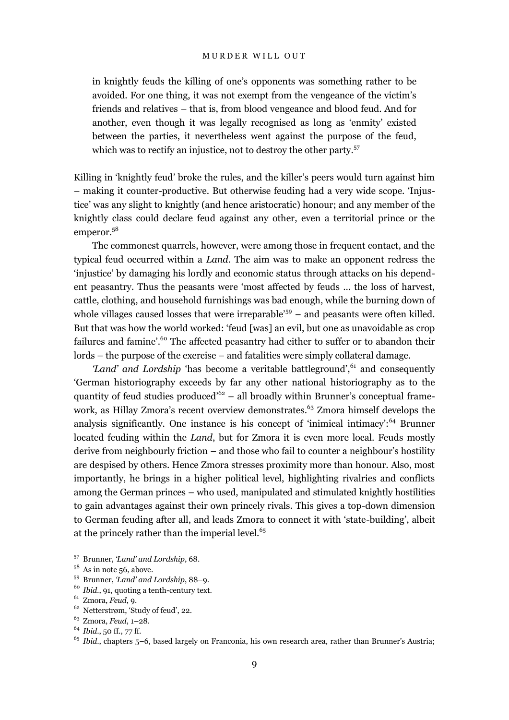in knightly feuds the killing of one's opponents was something rather to be avoided. For one thing, it was not exempt from the vengeance of the victim's friends and relatives – that is, from blood vengeance and blood feud. And for another, even though it was legally recognised as long as 'enmity' existed between the parties, it nevertheless went against the purpose of the feud, which was to rectify an injustice, not to destroy the other party.<sup>57</sup>

Killing in 'knightly feud' broke the rules, and the killer's peers would turn against him – making it counter-productive. But otherwise feuding had a very wide scope. 'Injustice' was any slight to knightly (and hence aristocratic) honour; and any member of the knightly class could declare feud against any other, even a territorial prince or the emperor.<sup>58</sup>

The commonest quarrels, however, were among those in frequent contact, and the typical feud occurred within a *Land*. The aim was to make an opponent redress the 'injustice' by damaging his lordly and economic status through attacks on his dependent peasantry. Thus the peasants were 'most affected by feuds … the loss of harvest, cattle, clothing, and household furnishings was bad enough, while the burning down of whole villages caused losses that were irreparable<sup> $39$ </sup> – and peasants were often killed. But that was how the world worked: 'feud [was] an evil, but one as unavoidable as crop failures and famine'.<sup>60</sup> The affected peasantry had either to suffer or to abandon their lords – the purpose of the exercise – and fatalities were simply collateral damage.

'Land' and Lordship 'has become a veritable battleground', <sup>61</sup> and consequently 'German historiography exceeds by far any other national historiography as to the quantity of feud studies produced<sup> $62$ </sup> – all broadly within Brunner's conceptual framework, as Hillay Zmora's recent overview demonstrates.<sup>63</sup> Zmora himself develops the analysis significantly. One instance is his concept of 'inimical intimacy': $64$  Brunner located feuding within the *Land*, but for Zmora it is even more local. Feuds mostly derive from neighbourly friction – and those who fail to counter a neighbour's hostility are despised by others. Hence Zmora stresses proximity more than honour. Also, most importantly, he brings in a higher political level, highlighting rivalries and conflicts among the German princes – who used, manipulated and stimulated knightly hostilities to gain advantages against their own princely rivals. This gives a top-down dimension to German feuding after all, and leads Zmora to connect it with 'state-building', albeit at the princely rather than the imperial level.<sup>65</sup>

- <sup>59</sup> Brunner, *'Land' and Lordship*, 88–9.
- <sup>60</sup> *Ibid.*, 91, quoting a tenth-century text.
- <sup>61</sup> Zmora, *Feud*, 9.

<sup>63</sup> Zmora, *Feud*, 1–28.

<sup>57</sup> Brunner, *'Land' and Lordship*, 68.

 $5^8$  As in note 56, above.

<sup>62</sup> Netterstrøm, 'Study of feud', 22.

<sup>64</sup> *Ibid*., 50 ff., 77 ff.

<sup>65</sup> *Ibid*., chapters 5–6, based largely on Franconia, his own research area, rather than Brunner's Austria;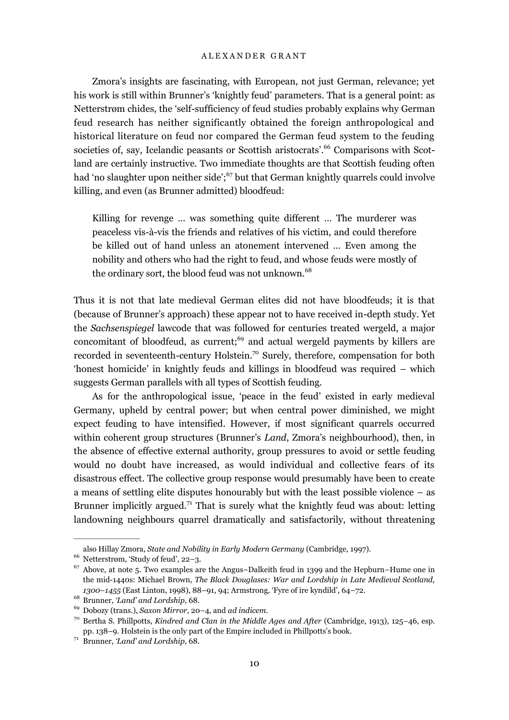Zmora's insights are fascinating, with European, not just German, relevance; yet his work is still within Brunner's 'knightly feud' parameters. That is a general point: as Netterstrøm chides, the 'self-sufficiency of feud studies probably explains why German feud research has neither significantly obtained the foreign anthropological and historical literature on feud nor compared the German feud system to the feuding societies of, say, Icelandic peasants or Scottish aristocrats'.<sup>66</sup> Comparisons with Scotland are certainly instructive. Two immediate thoughts are that Scottish feuding often had 'no slaughter upon neither side';<sup>67</sup> but that German knightly quarrels could involve killing, and even (as Brunner admitted) bloodfeud:

Killing for revenge ... was something quite different ... The murderer was peaceless vis-à-vis the friends and relatives of his victim, and could therefore be killed out of hand unless an atonement intervened … Even among the nobility and others who had the right to feud, and whose feuds were mostly of the ordinary sort, the blood feud was not unknown.<sup>68</sup>

Thus it is not that late medieval German elites did not have bloodfeuds; it is that (because of Brunner's approach) these appear not to have received in-depth study. Yet the *Sachsenspiegel* lawcode that was followed for centuries treated wergeld, a major concomitant of bloodfeud, as current;<sup>69</sup> and actual wergeld payments by killers are recorded in seventeenth-century Holstein.<sup>70</sup> Surely, therefore, compensation for both 'honest homicide' in knightly feuds and killings in bloodfeud was required – which suggests German parallels with all types of Scottish feuding.

As for the anthropological issue, 'peace in the feud' existed in early medieval Germany, upheld by central power; but when central power diminished, we might expect feuding to have intensified. However, if most significant quarrels occurred within coherent group structures (Brunner's *Land*, Zmora's neighbourhood), then, in the absence of effective external authority, group pressures to avoid or settle feuding would no doubt have increased, as would individual and collective fears of its disastrous effect. The collective group response would presumably have been to create a means of settling elite disputes honourably but with the least possible violence – as Brunner implicitly argued.<sup>71</sup> That is surely what the knightly feud was about: letting landowning neighbours quarrel dramatically and satisfactorily, without threatening

also Hillay Zmora, *State and Nobility in Early Modern Germany* (Cambridge, 1997).

<sup>66</sup> Netterstrøm, 'Study of feud', 22–3.

 $67$  Above, at note 5. Two examples are the Angus–Dalkeith feud in 1399 and the Hepburn–Hume one in the mid-1440s: Michael Brown, *The Black Douglases: War and Lordship in Late Medieval Scotland, 1300–1455* (East Linton, 1998), 88–91, 94; Armstrong, 'Fyre of ire kyndild', 64–72.

<sup>68</sup> Brunner, *'Land' and Lordship*, 68.

<sup>69</sup> Dobozy (trans.), *Saxon Mirror*, 20–4, and *ad indicem.*

<sup>70</sup> Bertha S. Phillpotts, *Kindred and Clan in the Middle Ages and After* (Cambridge, 1913), 125–46, esp. pp. 138–9. Holstein is the only part of the Empire included in Phillpotts's book.

<sup>71</sup> Brunner, *'Land' and Lordship*, 68.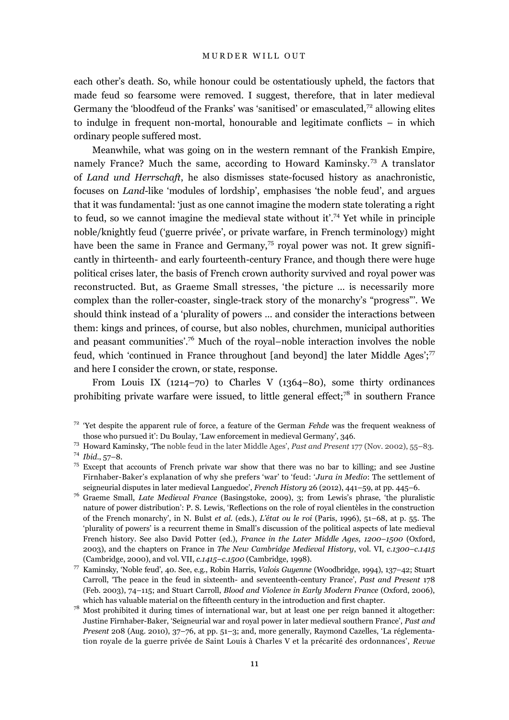each other's death. So, while honour could be ostentatiously upheld, the factors that made feud so fearsome were removed. I suggest, therefore, that in later medieval Germany the 'bloodfeud of the Franks' was 'sanitised' or emasculated, $7<sup>2</sup>$  allowing elites to indulge in frequent non-mortal, honourable and legitimate conflicts – in which ordinary people suffered most.

Meanwhile, what was going on in the western remnant of the Frankish Empire, namely France? Much the same, according to Howard Kaminsky.<sup>73</sup> A translator of *Land und Herrschaft*, he also dismisses state-focused history as anachronistic, focuses on *Land-*like 'modules of lordship', emphasises 'the noble feud', and argues that it was fundamental: 'just as one cannot imagine the modern state tolerating a right to feud, so we cannot imagine the medieval state without it'.<sup>74</sup> Yet while in principle noble/knightly feud ('guerre privée', or private warfare, in French terminology) might have been the same in France and Germany,<sup>75</sup> royal power was not. It grew significantly in thirteenth- and early fourteenth-century France, and though there were huge political crises later, the basis of French crown authority survived and royal power was reconstructed. But, as Graeme Small stresses, 'the picture … is necessarily more complex than the roller-coaster, single-track story of the monarchy's "progress"'. We should think instead of a 'plurality of powers … and consider the interactions between them: kings and princes, of course, but also nobles, churchmen, municipal authorities and peasant communities'.<sup>76</sup> Much of the royal–noble interaction involves the noble feud, which 'continued in France throughout [and beyond] the later Middle Ages';<sup>77</sup> and here I consider the crown, or state, response.

From Louis IX (1214–70) to Charles V (1364–80), some thirty ordinances prohibiting private warfare were issued, to little general effect;<sup>78</sup> in southern France

<sup>76</sup> Graeme Small, *Late Medieval France* (Basingstoke, 2009), 3; from Lewis's phrase, 'the pluralistic nature of power distribution': P. S. Lewis, 'Reflections on the role of royal clientèles in the construction of the French monarchy', in N. Bulst *et al.* (eds.), *L'état ou le roi* (Paris, 1996), 51–68, at p. 55. The 'plurality of powers' is a recurrent theme in Small's discussion of the political aspects of late medieval French history. See also David Potter (ed.), *France in the Later Middle Ages, 1200–1500* (Oxford, 2003), and the chapters on France in *The New Cambridge Medieval History*, vol. VI, *c.1300–c.1415* (Cambridge, 2000), and vol. VII, *c.1415–c*.*1500* (Cambridge, 1998).

<sup>77</sup> Kaminsky, 'Noble feud', 40. See, e.g., Robin Harris, *Valois Guyenne* (Woodbridge, 1994), 137–42; Stuart Carroll, 'The peace in the feud in sixteenth- and seventeenth-century France', *Past and Present* 178 (Feb. 2003), 74–115; and Stuart Carroll, *Blood and Violence in Early Modern France* (Oxford, 2006), which has valuable material on the fifteenth century in the introduction and first chapter.

<sup>&</sup>lt;sup>72</sup> 'Yet despite the apparent rule of force, a feature of the German *Fehde* was the frequent weakness of those who pursued it': Du Boulay, 'Law enforcement in medieval Germany', 346.

<sup>73</sup> Howard Kaminsky, 'The noble feud in the later Middle Ages', *Past and Present* 177 (Nov. 2002), 55–83.

<sup>74</sup> *Ibid*., 57–8.

<sup>75</sup> Except that accounts of French private war show that there was no bar to killing; and see Justine Firnhaber-Baker's explanation of why she prefers 'war' to 'feud: '*Jura in Medio*: The settlement of seigneurial disputes in later medieval Languedoc', *French History* 26 (2012), 441–59, at pp. 445–6.

 $78$  Most prohibited it during times of international war, but at least one per reign banned it altogether: Justine Firnhaber-Baker, 'Seigneurial war and royal power in later medieval southern France', *Past and Present* 208 (Aug. 2010), 37–76, at pp. 51–3; and, more generally, Raymond Cazelles, 'La réglementation royale de la guerre privée de Saint Louis à Charles V et la précarité des ordonnances', *Revue*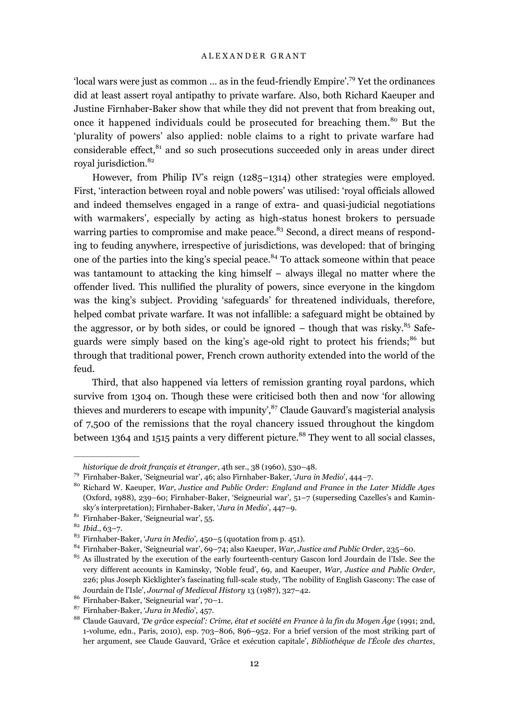'local wars were just as common … as in the feud-friendly Empire'.<sup>79</sup> Yet the ordinances did at least assert royal antipathy to private warfare. Also, both Richard Kaeuper and Justine Firnhaber-Baker show that while they did not prevent that from breaking out, once it happened individuals could be prosecuted for breaching them.<sup>80</sup> But the 'plurality of powers' also applied: noble claims to a right to private warfare had considerable effect, $81$  and so such prosecutions succeeded only in areas under direct royal jurisdiction.<sup>82</sup>

However, from Philip IV's reign (1285–1314) other strategies were employed. First, 'interaction between royal and noble powers' was utilised: 'royal officials allowed and indeed themselves engaged in a range of extra- and quasi-judicial negotiations with warmakers', especially by acting as high-status honest brokers to persuade warring parties to compromise and make peace. $83$  Second, a direct means of responding to feuding anywhere, irrespective of jurisdictions, was developed: that of bringing one of the parties into the king's special peace. $84$  To attack someone within that peace was tantamount to attacking the king himself – always illegal no matter where the offender lived. This nullified the plurality of powers, since everyone in the kingdom was the king's subject. Providing 'safeguards' for threatened individuals, therefore, helped combat private warfare. It was not infallible: a safeguard might be obtained by the aggressor, or by both sides, or could be ignored – though that was risky. $85$  Safeguards were simply based on the king's age-old right to protect his friends;<sup>86</sup> but through that traditional power, French crown authority extended into the world of the feud.

Third, that also happened via letters of remission granting royal pardons, which survive from 1304 on. Though these were criticised both then and now 'for allowing thieves and murderers to escape with impunity, ${}^{87}$  Claude Gauvard's magisterial analysis of 7,500 of the remissions that the royal chancery issued throughout the kingdom between 1364 and 1515 paints a very different picture.<sup>88</sup> They went to all social classes,

*historique de droit français et étranger*, 4th ser., 38 (1960), 530–48.

<sup>79</sup> Firnhaber-Baker, 'Seigneurial war', 46; also Firnhaber-Baker, '*Jura in Medio*', 444–7.

<sup>80</sup> Richard W. Kaeuper, *War, Justice and Public Order: England and France in the Later Middle Ages* (Oxford, 1988), 239–60; Firnhaber-Baker, 'Seigneurial war', 51–7 (superseding Cazelles's and Kaminsky's interpretation); Firnhaber-Baker, '*Jura in Medio*', 447–9.

<sup>81</sup> Firnhaber-Baker, 'Seigneurial war', 55.

<sup>82</sup> *Ibid*., 63–7.

<sup>83</sup> Firnhaber-Baker, '*Jura in Medio*', 450–5 (quotation from p. 451).

<sup>84</sup> Firnhaber-Baker, 'Seigneurial war', 69–74; also Kaeuper, *War, Justice and Public Order*, 235–60.

<sup>&</sup>lt;sup>85</sup> As illustrated by the execution of the early fourteenth-century Gascon lord Jourdain de l'Isle. See the very different accounts in Kaminsky, 'Noble feud', 69, and Kaeuper, *War, Justice and Public Order*, 226; plus Joseph Kicklighter's fascinating full-scale study, 'The nobility of English Gascony: The case of Jourdain de l'Isle', *Journal of Medieval History* 13 (1987), 327–42.

<sup>86</sup> Firnhaber-Baker, 'Seigneurial war', 70–1.

<sup>87</sup> Firnhaber-Baker, '*Jura in Medio*', 457.

<sup>88</sup> Claude Gauvard, *'De grâce especial': Crime, état et société en France à la fin du Moyen Âge* (1991; 2nd, 1-volume, edn., Paris, 2010), esp. 703–806, 896–952. For a brief version of the most striking part of her argument, see Claude Gauvard, 'Grâce et exécution capitale', *Bibliothéque de l'École des chartes*,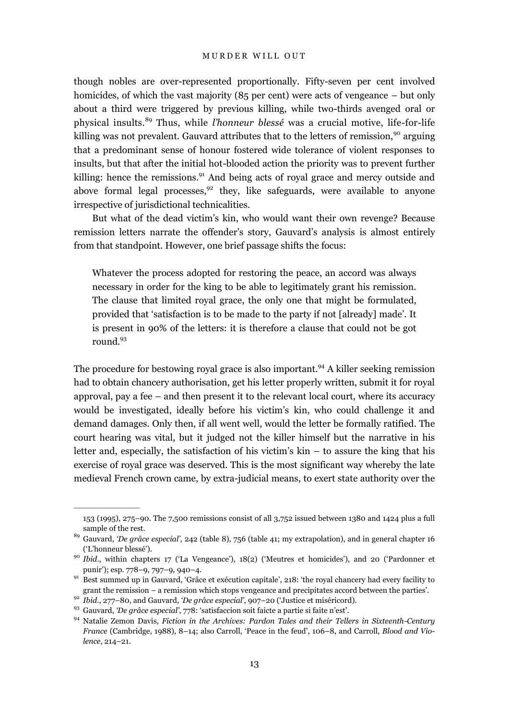#### MURDER WILL OUT

though nobles are over-represented proportionally. Fifty-seven per cent involved homicides, of which the vast majority (85 per cent) were acts of vengeance – but only about a third were triggered by previous killing, while two-thirds avenged oral or physical insults.<sup>89</sup> Thus, while *l'honneur blessé* was a crucial motive, life-for-life killing was not prevalent. Gauvard attributes that to the letters of remission,<sup>90</sup> arguing that a predominant sense of honour fostered wide tolerance of violent responses to insults, but that after the initial hot-blooded action the priority was to prevent further killing: hence the remissions.<sup>91</sup> And being acts of royal grace and mercy outside and above formal legal processes,  $92$  they, like safeguards, were available to anyone irrespective of jurisdictional technicalities.

But what of the dead victim's kin, who would want their own revenge? Because remission letters narrate the offender's story, Gauvard's analysis is almost entirely from that standpoint. However, one brief passage shifts the focus:

Whatever the process adopted for restoring the peace, an accord was always necessary in order for the king to be able to legitimately grant his remission. The clause that limited royal grace, the only one that might be formulated, provided that 'satisfaction is to be made to the party if not [already] made'. It is present in 90% of the letters: it is therefore a clause that could not be got round.<sup>93</sup>

The procedure for bestowing royal grace is also important.<sup>94</sup> A killer seeking remission had to obtain chancery authorisation, get his letter properly written, submit it for royal approval, pay a fee – and then present it to the relevant local court, where its accuracy would be investigated, ideally before his victim's kin, who could challenge it and demand damages. Only then, if all went well, would the letter be formally ratified. The court hearing was vital, but it judged not the killer himself but the narrative in his letter and, especially, the satisfaction of his victim's kin – to assure the king that his exercise of royal grace was deserved. This is the most significant way whereby the late medieval French crown came, by extra-judicial means, to exert state authority over the

<sup>153 (1995), 275</sup>–90. The 7,500 remissions consist of all 3,752 issued between 1380 and 1424 plus a full sample of the rest.

<sup>89</sup> Gauvard, *'De grâce especial'*, 242 (table 8), 756 (table 41; my extrapolation), and in general chapter 16 ('L'honneur blessé').

<sup>&</sup>lt;sup>90</sup> *Ibid.*, within chapters 17 ('La Vengeance'), 18(2) ('Meutres et homicides'), and 20 ('Pardonner et punir'); esp. 778–9, 797–9, 940–4.

<sup>&</sup>lt;sup>91</sup> Best summed up in Gauvard, 'Grâce et exécution capitale', 218: 'the royal chancery had every facility to grant the remission – a remission which stops vengeance and precipitates accord between the parties'.

<sup>92</sup> *Ibid.*, 277–80, and Gauvard, *'De grâce especial'*, 907–20 ('Justice et miséricord).

<sup>93</sup> Gauvard, *'De grâce especial'*, 778: 'satisfaccion soit faicte a partie si faite n'est'.

<sup>94</sup> Natalie Zemon Davis, *Fiction in the Archives: Pardon Tales and their Tellers in Sixteenth-Century France* (Cambridge, 1988), 8–14; also Carroll, 'Peace in the feud', 106–8, and Carroll, *Blood and Violence*, 214–21.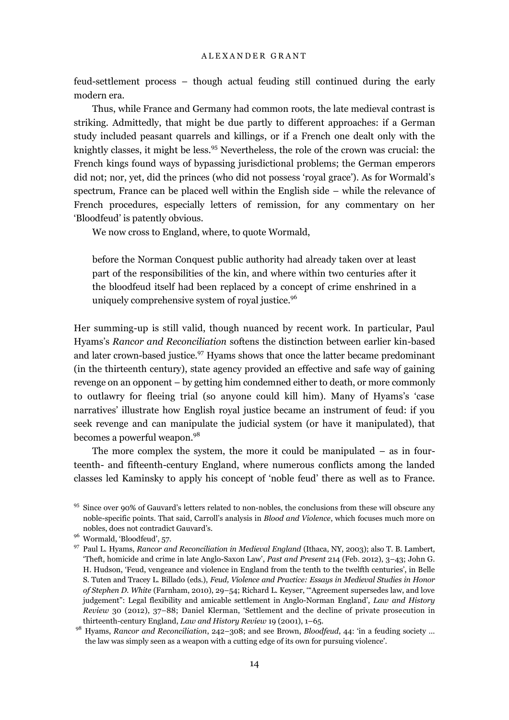feud-settlement process – though actual feuding still continued during the early modern era.

Thus, while France and Germany had common roots, the late medieval contrast is striking. Admittedly, that might be due partly to different approaches: if a German study included peasant quarrels and killings, or if a French one dealt only with the knightly classes, it might be less.<sup>95</sup> Nevertheless, the role of the crown was crucial: the French kings found ways of bypassing jurisdictional problems; the German emperors did not; nor, yet, did the princes (who did not possess 'royal grace'). As for Wormald's spectrum, France can be placed well within the English side – while the relevance of French procedures, especially letters of remission, for any commentary on her 'Bloodfeud' is patently obvious.

We now cross to England, where, to quote Wormald,

before the Norman Conquest public authority had already taken over at least part of the responsibilities of the kin, and where within two centuries after it the bloodfeud itself had been replaced by a concept of crime enshrined in a uniquely comprehensive system of royal justice.<sup>96</sup>

Her summing-up is still valid, though nuanced by recent work. In particular, Paul Hyams's *Rancor and Reconciliation* softens the distinction between earlier kin-based and later crown-based justice.<sup>97</sup> Hyams shows that once the latter became predominant (in the thirteenth century), state agency provided an effective and safe way of gaining revenge on an opponent – by getting him condemned either to death, or more commonly to outlawry for fleeing trial (so anyone could kill him). Many of Hyams's 'case narratives' illustrate how English royal justice became an instrument of feud: if you seek revenge and can manipulate the judicial system (or have it manipulated), that becomes a powerful weapon.<sup>98</sup>

The more complex the system, the more it could be manipulated – as in fourteenth- and fifteenth-century England, where numerous conflicts among the landed classes led Kaminsky to apply his concept of 'noble feud' there as well as to France.

<sup>&</sup>lt;sup>95</sup> Since over 90% of Gauvard's letters related to non-nobles, the conclusions from these will obscure any noble-specific points. That said, Carroll's analysis in *Blood and Violence*, which focuses much more on nobles, does not contradict Gauvard's.

<sup>96</sup> Wormald, 'Bloodfeud', 57.

<sup>97</sup> Paul L. Hyams, *Rancor and Reconciliation in Medieval England* (Ithaca, NY, 2003); also T. B. Lambert, 'Theft, homicide and crime in late Anglo-Saxon Law', *Past and Present* 214 (Feb. 2012), 3–43; John G. H. Hudson, 'Feud, vengeance and violence in England from the tenth to the twelfth centuries', in Belle S. Tuten and Tracey L. Billado (eds.), *Feud, Violence and Practice: Essays in Medieval Studies in Honor of Stephen D. White* (Farnham, 2010), 29–54; Richard L. Keyser, '"Agreement supersedes law, and love judgement": Legal flexibility and amicable settlement in Anglo-Norman England', *Law and History Review* 30 (2012), 37–88; Daniel Klerman, 'Settlement and the decline of private prosecution in thirteenth-century England, *Law and History Review* 19 (2001), 1–65.

<sup>98</sup> Hyams, *Rancor and Reconciliation*, 242–308; and see Brown, *Bloodfeud*, 44: 'in a feuding society … the law was simply seen as a weapon with a cutting edge of its own for pursuing violence'.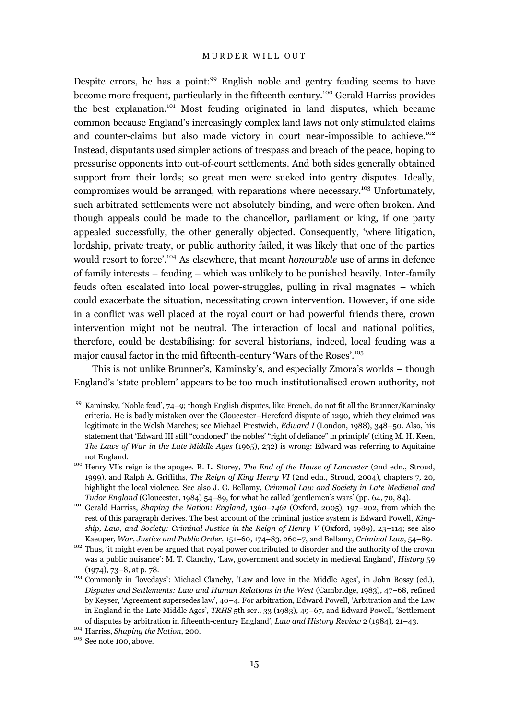Despite errors, he has a point:<sup>99</sup> English noble and gentry feuding seems to have become more frequent, particularly in the fifteenth century.<sup>100</sup> Gerald Harriss provides the best explanation.<sup>101</sup> Most feuding originated in land disputes, which became common because England's increasingly complex land laws not only stimulated claims and counter-claims but also made victory in court near-impossible to achieve.<sup>102</sup> Instead, disputants used simpler actions of trespass and breach of the peace, hoping to pressurise opponents into out-of-court settlements. And both sides generally obtained support from their lords; so great men were sucked into gentry disputes. Ideally, compromises would be arranged, with reparations where necessary.<sup>103</sup> Unfortunately, such arbitrated settlements were not absolutely binding, and were often broken. And though appeals could be made to the chancellor, parliament or king, if one party appealed successfully, the other generally objected. Consequently, 'where litigation, lordship, private treaty, or public authority failed, it was likely that one of the parties would resort to force'.<sup>104</sup> As elsewhere, that meant *honourable* use of arms in defence of family interests – feuding – which was unlikely to be punished heavily. Inter-family feuds often escalated into local power-struggles, pulling in rival magnates – which could exacerbate the situation, necessitating crown intervention. However, if one side in a conflict was well placed at the royal court or had powerful friends there, crown intervention might not be neutral. The interaction of local and national politics, therefore, could be destabilising: for several historians, indeed, local feuding was a major causal factor in the mid fifteenth-century 'Wars of the Roses'.<sup>105</sup>

This is not unlike Brunner's, Kaminsky's, and especially Zmora's worlds – though England's 'state problem' appears to be too much institutionalised crown authority, not

<sup>99</sup> Kaminsky, 'Noble feud', 74–9; though English disputes, like French, do not fit all the Brunner/Kaminsky criteria. He is badly mistaken over the Gloucester–Hereford dispute of 1290, which they claimed was legitimate in the Welsh Marches; see Michael Prestwich, *Edward I* (London, 1988), 348–50. Also, his statement that 'Edward III still "condoned" the nobles' "right of defiance" in principle' (citing M. H. Keen, *The Laws of War in the Late Middle Ages* (1965), 232) is wrong: Edward was referring to Aquitaine not England.

<sup>100</sup> Henry VI's reign is the apogee. R. L. Storey, *The End of the House of Lancaster* (2nd edn., Stroud, 1999), and Ralph A. Griffiths, *The Reign of King Henry VI* (2nd edn., Stroud, 2004), chapters 7, 20, highlight the local violence. See also J. G. Bellamy, *Criminal Law and Society in Late Medieval and Tudor England* (Gloucester, 1984) 54–89, for what he called 'gentlemen's wars' (pp. 64, 70, 84).

<sup>101</sup> Gerald Harriss, *Shaping the Nation: England, 1360–1461* (Oxford, 2005), 197–202, from which the rest of this paragraph derives. The best account of the criminal justice system is Edward Powell, *Kingship, Law, and Society: Criminal Justice in the Reign of Henry V* (Oxford, 1989), 23–114; see also Kaeuper*, War, Justice and Public Order,* 151–60, 174–83, 260–7, and Bellamy, *Criminal Law*, 54–89.

<sup>102</sup> Thus, 'it might even be argued that royal power contributed to disorder and the authority of the crown was a public nuisance': M. T. Clanchy, 'Law, government and society in medieval England', *History* 59 (1974), 73–8, at p. 78.

<sup>103</sup> Commonly in 'lovedays': Michael Clanchy, 'Law and love in the Middle Ages', in John Bossy (ed.), *Disputes and Settlements: Law and Human Relations in the West* (Cambridge, 1983), 47–68, refined by Keyser, 'Agreement supersedes law', 40–4. For arbitration, Edward Powell, 'Arbitration and the Law in England in the Late Middle Ages', *TRHS* 5th ser., 33 (1983), 49–67, and Edward Powell, 'Settlement of disputes by arbitration in fifteenth-century England', *Law and History Review* 2 (1984), 21–43.

<sup>104</sup> Harriss, *Shaping the Nation*, 200.

 $105$  See note 100, above.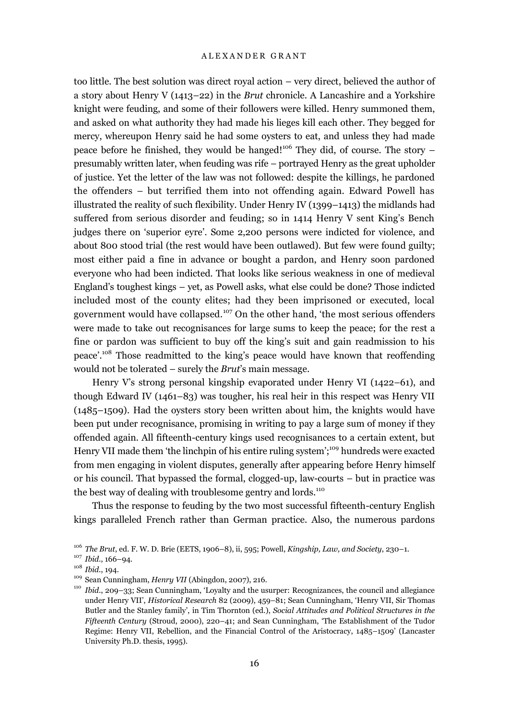too little. The best solution was direct royal action – very direct, believed the author of a story about Henry V (1413–22) in the *Brut* chronicle. A Lancashire and a Yorkshire knight were feuding, and some of their followers were killed. Henry summoned them, and asked on what authority they had made his lieges kill each other. They begged for mercy, whereupon Henry said he had some oysters to eat, and unless they had made peace before he finished, they would be hanged!<sup>106</sup> They did, of course. The story  $$ presumably written later, when feuding was rife – portrayed Henry as the great upholder of justice. Yet the letter of the law was not followed: despite the killings, he pardoned the offenders – but terrified them into not offending again. Edward Powell has illustrated the reality of such flexibility. Under Henry IV (1399–1413) the midlands had suffered from serious disorder and feuding; so in 1414 Henry V sent King's Bench judges there on 'superior eyre'. Some 2,200 persons were indicted for violence, and about 800 stood trial (the rest would have been outlawed). But few were found guilty; most either paid a fine in advance or bought a pardon, and Henry soon pardoned everyone who had been indicted. That looks like serious weakness in one of medieval England's toughest kings – yet, as Powell asks, what else could be done? Those indicted included most of the county elites; had they been imprisoned or executed, local government would have collapsed.<sup>107</sup> On the other hand, 'the most serious offenders were made to take out recognisances for large sums to keep the peace; for the rest a fine or pardon was sufficient to buy off the king's suit and gain readmission to his peace'.<sup>108</sup> Those readmitted to the king's peace would have known that reoffending would not be tolerated – surely the *Brut*'s main message.

Henry V's strong personal kingship evaporated under Henry VI (1422–61), and though Edward IV (1461–83) was tougher, his real heir in this respect was Henry VII (1485–1509). Had the oysters story been written about him, the knights would have been put under recognisance, promising in writing to pay a large sum of money if they offended again. All fifteenth-century kings used recognisances to a certain extent, but Henry VII made them 'the linchpin of his entire ruling system';<sup>109</sup> hundreds were exacted from men engaging in violent disputes, generally after appearing before Henry himself or his council. That bypassed the formal, clogged-up, law-courts – but in practice was the best way of dealing with troublesome gentry and lords.<sup>110</sup>

Thus the response to feuding by the two most successful fifteenth-century English kings paralleled French rather than German practice. Also, the numerous pardons

<sup>106</sup> *The Brut*, ed. F. W. D. Brie (EETS, 1906–8), ii, 595; Powell, *Kingship, Law, and Society*, 230–1.

<sup>107</sup> *Ibid*., 166–94.

<sup>108</sup> *Ibid.*, 194.

<sup>109</sup> Sean Cunningham, *Henry VII* (Abingdon, 2007), 216.

<sup>110</sup> *Ibid*., 209–33; Sean Cunningham, 'Loyalty and the usurper: Recognizances, the council and allegiance under Henry VII', *Historical Research* 82 (2009), 459–81; Sean Cunningham, 'Henry VII, Sir Thomas Butler and the Stanley family', in Tim Thornton (ed.), *Social Attitudes and Political Structures in the Fifteenth Century* (Stroud, 2000), 220–41; and Sean Cunningham, 'The Establishment of the Tudor Regime: Henry VII, Rebellion, and the Financial Control of the Aristocracy, 1485–1509' (Lancaster University Ph.D. thesis, 1995).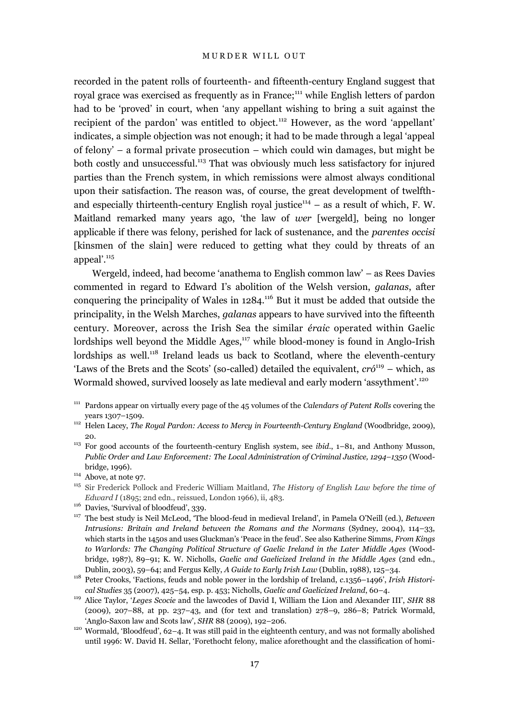recorded in the patent rolls of fourteenth- and fifteenth-century England suggest that royal grace was exercised as frequently as in France;<sup>111</sup> while English letters of pardon had to be 'proved' in court, when 'any appellant wishing to bring a suit against the recipient of the pardon' was entitled to object.<sup>112</sup> However, as the word 'appellant' indicates, a simple objection was not enough; it had to be made through a legal 'appeal of felony' – a formal private prosecution – which could win damages, but might be both costly and unsuccessful.<sup>113</sup> That was obviously much less satisfactory for injured parties than the French system, in which remissions were almost always conditional upon their satisfaction. The reason was, of course, the great development of twelfthand especially thirteenth-century English royal justice<sup>114</sup> – as a result of which, F. W. Maitland remarked many years ago, 'the law of *wer* [wergeld], being no longer applicable if there was felony, perished for lack of sustenance, and the *parentes occisi* [kinsmen of the slain] were reduced to getting what they could by threats of an appeal'.<sup>115</sup>

Wergeld, indeed, had become 'anathema to English common law' – as Rees Davies commented in regard to Edward I's abolition of the Welsh version, *galanas*, after conquering the principality of Wales in 1284.<sup>116</sup> But it must be added that outside the principality, in the Welsh Marches, *galanas* appears to have survived into the fifteenth century. Moreover, across the Irish Sea the similar *éraic* operated within Gaelic lordships well beyond the Middle Ages, $117$  while blood-money is found in Anglo-Irish lordships as well.<sup>118</sup> Ireland leads us back to Scotland, where the eleventh-century 'Laws of the Brets and the Scots' (so-called) detailed the equivalent,  $cr\acute{o}^{119}$  – which, as Wormald showed, survived loosely as late medieval and early modern 'assythment'.<sup>120</sup>

<sup>113</sup> For good accounts of the fourteenth-century English system, see *ibid*., 1–81, and Anthony Musson, *Public Order and Law Enforcement: The Local Administration of Criminal Justice, 1294–1350* (Woodbridge, 1996).

- <sup>115</sup> Sir Frederick Pollock and Frederic William Maitland, *The History of English Law before the time of Edward I* (1895; 2nd edn., reissued, London 1966), ii, 483.
- <sup>116</sup> Davies, 'Survival of bloodfeud', 339.
- <sup>117</sup> The best study is Neil McLeod, 'The blood-feud in medieval Ireland', in Pamela O'Neill (ed.), *Between Intrusions: Britain and Ireland between the Romans and the Normans* (Sydney, 2004), 114–33, which starts in the 1450s and uses Gluckman's 'Peace in the feud'. See also Katherine Simms, *From Kings to Warlords: The Changing Political Structure of Gaelic Ireland in the Later Middle Ages* (Woodbridge, 1987), 89–91; K. W. Nicholls, *Gaelic and Gaelicized Ireland in the Middle Ages* (2nd edn., Dublin, 2003), 59–64; and Fergus Kelly, *A Guide to Early Irish Law* (Dublin, 1988), 125–34.
- <sup>118</sup> Peter Crooks, 'Factions, feuds and noble power in the lordship of Ireland, *c*.1356–1496', *Irish Historical Studies* 35 (2007), 425–54, esp. p. 453; Nicholls, *Gaelic and Gaelicized Ireland*, 60–4.
- <sup>119</sup> Alice Taylor, '*Leges Scocie* and the lawcodes of David I, William the Lion and Alexander III', *SHR* 88 (2009), 207–88, at pp. 237–43, and (for text and translation) 278–9, 286–8; Patrick Wormald, 'Anglo-Saxon law and Scots law', *SHR* 88 (2009), 192–206.
- <sup>120</sup> Wormald, 'Bloodfeud', 62–4. It was still paid in the eighteenth century, and was not formally abolished until 1996: W. David H. Sellar, 'Forethocht felony, malice aforethought and the classification of homi-

<sup>111</sup> Pardons appear on virtually every page of the 45 volumes of the *Calendars of Patent Rolls* covering the years 1307–1509.

<sup>112</sup> Helen Lacey, *The Royal Pardon: Access to Mercy in Fourteenth-Century England* (Woodbridge, 2009), 20.

 $114$  Above, at note 97.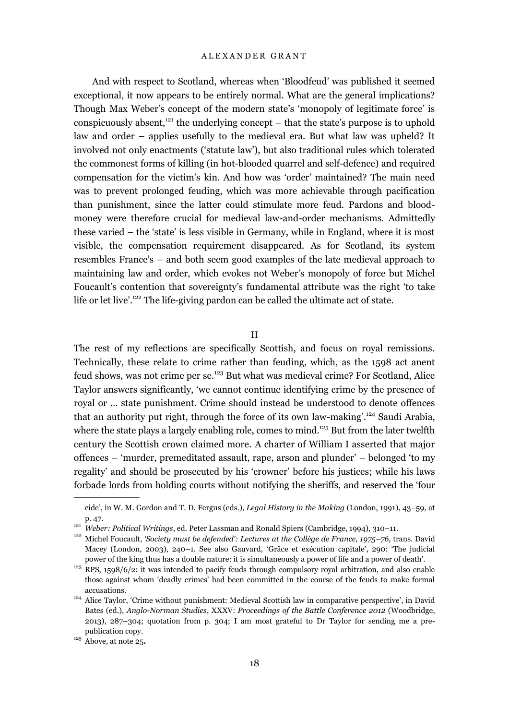And with respect to Scotland, whereas when 'Bloodfeud' was published it seemed exceptional, it now appears to be entirely normal. What are the general implications? Though Max Weber's concept of the modern state's 'monopoly of legitimate force' is conspicuously absent, $121$  the underlying concept – that the state's purpose is to uphold law and order – applies usefully to the medieval era. But what law was upheld? It involved not only enactments ('statute law'), but also traditional rules which tolerated the commonest forms of killing (in hot-blooded quarrel and self-defence) and required compensation for the victim's kin. And how was 'order' maintained? The main need was to prevent prolonged feuding, which was more achievable through pacification than punishment, since the latter could stimulate more feud. Pardons and bloodmoney were therefore crucial for medieval law-and-order mechanisms. Admittedly these varied – the 'state' is less visible in Germany, while in England, where it is most visible, the compensation requirement disappeared. As for Scotland, its system resembles France's – and both seem good examples of the late medieval approach to maintaining law and order, which evokes not Weber's monopoly of force but Michel Foucault's contention that sovereignty's fundamental attribute was the right 'to take life or let live'.<sup>122</sup> The life-giving pardon can be called the ultimate act of state.

II

The rest of my reflections are specifically Scottish, and focus on royal remissions. Technically, these relate to crime rather than feuding, which, as the 1598 act anent feud shows, was not crime per se.<sup>123</sup> But what was medieval crime? For Scotland, Alice Taylor answers significantly, 'we cannot continue identifying crime by the presence of royal or … state punishment. Crime should instead be understood to denote offences that an authority put right, through the force of its own law-making'.<sup>124</sup> Saudi Arabia, where the state plays a largely enabling role, comes to mind.<sup>125</sup> But from the later twelfth century the Scottish crown claimed more. A charter of William I asserted that major offences – 'murder, premeditated assault, rape, arson and plunder' – belonged 'to my regality' and should be prosecuted by his 'crowner' before his justices; while his laws forbade lords from holding courts without notifying the sheriffs, and reserved the 'four

cide', in W. M. Gordon and T. D. Fergus (eds.), *Legal History in the Making* (London, 1991), 43–59, at p. 47.

<sup>121</sup> *Weber: Political Writings*, ed. Peter Lassman and Ronald Spiers (Cambridge, 1994), 310–11.

<sup>122</sup> Michel Foucault, *'Society must be defended': Lectures at the Collège de France, 1975–76*, trans. David Macey (London, 2003), 240–1. See also Gauvard, 'Grâce et exécution capitale', 290: 'The judicial power of the king thus has a double nature: it is simultaneously a power of life and a power of death'.

 $123$  RPS, 1598/6/2: it was intended to pacify feuds through compulsory royal arbitration, and also enable those against whom 'deadly crimes' had been committed in the course of the feuds to make formal accusations.

<sup>&</sup>lt;sup>124</sup> Alice Taylor, 'Crime without punishment: Medieval Scottish law in comparative perspective', in David Bates (ed.), *Anglo-Norman Studies*, XXXV: *Proceedings of the Battle Conference 2012* (Woodbridge, 2013), 287–304; quotation from p. 304; I am most grateful to Dr Taylor for sending me a prepublication copy.

<sup>125</sup> Above, at note 25**.**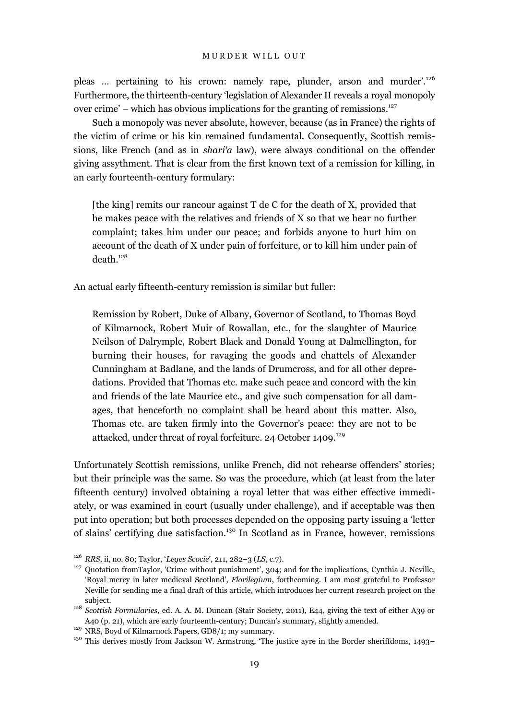### MURDER WILL OUT

pleas ... pertaining to his crown: namely rape, plunder, arson and murder'.<sup>126</sup> Furthermore, the thirteenth-century 'legislation of Alexander II reveals a royal monopoly over crime' – which has obvious implications for the granting of remissions.<sup>127</sup>

Such a monopoly was never absolute, however, because (as in France) the rights of the victim of crime or his kin remained fundamental. Consequently, Scottish remissions, like French (and as in *shari'a* law), were always conditional on the offender giving assythment. That is clear from the first known text of a remission for killing, in an early fourteenth-century formulary:

[the king] remits our rancour against T de C for the death of X, provided that he makes peace with the relatives and friends of X so that we hear no further complaint; takes him under our peace; and forbids anyone to hurt him on account of the death of X under pain of forfeiture, or to kill him under pain of  $death.<sup>128</sup>$ 

An actual early fifteenth-century remission is similar but fuller:

Remission by Robert, Duke of Albany, Governor of Scotland, to Thomas Boyd of Kilmarnock, Robert Muir of Rowallan, etc., for the slaughter of Maurice Neilson of Dalrymple, Robert Black and Donald Young at Dalmellington, for burning their houses, for ravaging the goods and chattels of Alexander Cunningham at Badlane, and the lands of Drumcross, and for all other depredations. Provided that Thomas etc. make such peace and concord with the kin and friends of the late Maurice etc., and give such compensation for all damages, that henceforth no complaint shall be heard about this matter. Also, Thomas etc. are taken firmly into the Governor's peace: they are not to be attacked, under threat of royal forfeiture. 24 October 1409.<sup>129</sup>

Unfortunately Scottish remissions, unlike French, did not rehearse offenders' stories; but their principle was the same. So was the procedure, which (at least from the later fifteenth century) involved obtaining a royal letter that was either effective immediately, or was examined in court (usually under challenge), and if acceptable was then put into operation; but both processes depended on the opposing party issuing a 'letter of slains' certifying due satisfaction.<sup>130</sup> In Scotland as in France, however, remissions

<sup>126</sup> *RRS*, ii, no. 80; Taylor, '*Leges Scocie*', 211, 282–3 (*LS*, c.7).

<sup>&</sup>lt;sup>127</sup> Quotation fromTaylor, 'Crime without punishment', 304; and for the implications, Cynthia J. Neville, 'Royal mercy in later medieval Scotland', *Florilegium*, forthcoming. I am most grateful to Professor Neville for sending me a final draft of this article, which introduces her current research project on the subject.

<sup>128</sup> *Scottish Formularies*, ed. A. A. M. Duncan (Stair Society, 2011), E44, giving the text of either A39 or A40 (p. 21), which are early fourteenth-century; Duncan's summary, slightly amended.

<sup>&</sup>lt;sup>129</sup> NRS, Boyd of Kilmarnock Papers, GD8/1; my summary.

 $130$  This derives mostly from Jackson W. Armstrong, 'The justice ayre in the Border sheriffdoms, 1493–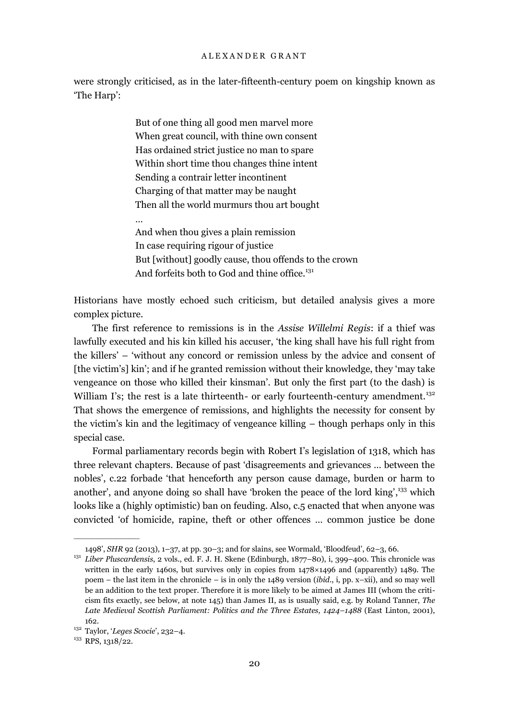were strongly criticised, as in the later-fifteenth-century poem on kingship known as 'The Harp':

> But of one thing all good men marvel more When great council, with thine own consent Has ordained strict justice no man to spare Within short time thou changes thine intent Sending a contrair letter incontinent Charging of that matter may be naught Then all the world murmurs thou art bought … And when thou gives a plain remission In case requiring rigour of justice But [without] goodly cause, thou offends to the crown

And forfeits both to God and thine office.<sup>131</sup>

Historians have mostly echoed such criticism, but detailed analysis gives a more complex picture.

The first reference to remissions is in the *Assise Willelmi Regis*: if a thief was lawfully executed and his kin killed his accuser, 'the king shall have his full right from the killers' – 'without any concord or remission unless by the advice and consent of [the victim's] kin'; and if he granted remission without their knowledge, they 'may take vengeance on those who killed their kinsman'. But only the first part (to the dash) is William I's; the rest is a late thirteenth- or early fourteenth-century amendment.<sup>132</sup> That shows the emergence of remissions, and highlights the necessity for consent by the victim's kin and the legitimacy of vengeance killing – though perhaps only in this special case.

Formal parliamentary records begin with Robert I's legislation of 1318, which has three relevant chapters. Because of past 'disagreements and grievances … between the nobles', c.22 forbade 'that henceforth any person cause damage, burden or harm to another', and anyone doing so shall have 'broken the peace of the lord king',<sup>133</sup> which looks like a (highly optimistic) ban on feuding. Also, c.5 enacted that when anyone was convicted 'of homicide, rapine, theft or other offences … common justice be done

<sup>1498&#</sup>x27;, *SHR* 92 (2013), 1–37, at pp. 30–3; and for slains, see Wormald, 'Bloodfeud', 62–3, 66.

<sup>131</sup> *Liber Pluscardensis*, 2 vols., ed. F. J. H. Skene (Edinburgh, 1877–80), i, 399–400. This chronicle was written in the early 1460s, but survives only in copies from 1478×1496 and (apparently) 1489. The poem – the last item in the chronicle – is in only the 1489 version (*ibid*., i, pp. x–xii), and so may well be an addition to the text proper. Therefore it is more likely to be aimed at James III (whom the criticism fits exactly, see below, at note 145) than James II, as is usually said, e.g. by Roland Tanner, *The Late Medieval Scottish Parliament: Politics and the Three Estates, 1424–1488* (East Linton, 2001), 162.

<sup>132</sup> Taylor, '*Leges Scocie*', 232–4.

<sup>&</sup>lt;sup>133</sup> RPS, 1318/22.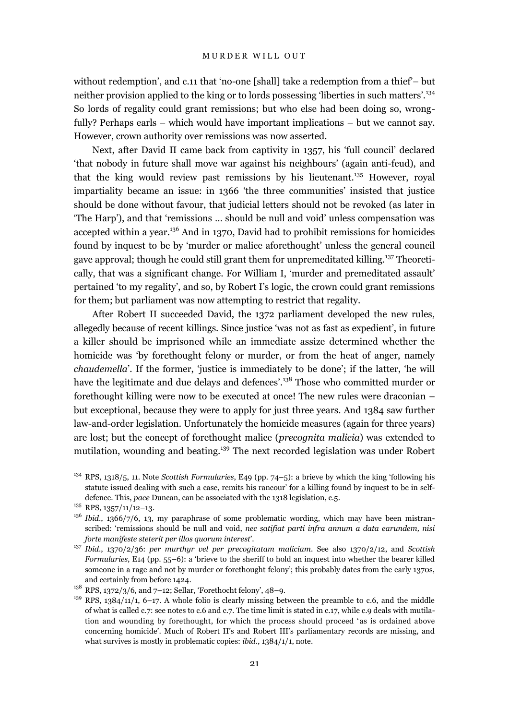without redemption', and c.11 that 'no-one [shall] take a redemption from a thief'– but neither provision applied to the king or to lords possessing 'liberties in such matters'.<sup>134</sup> So lords of regality could grant remissions; but who else had been doing so, wrongfully? Perhaps earls – which would have important implications – but we cannot say. However, crown authority over remissions was now asserted.

Next, after David II came back from captivity in 1357, his 'full council' declared 'that nobody in future shall move war against his neighbours' (again anti-feud), and that the king would review past remissions by his lieutenant.<sup>135</sup> However, royal impartiality became an issue: in 1366 'the three communities' insisted that justice should be done without favour, that judicial letters should not be revoked (as later in 'The Harp'), and that 'remissions … should be null and void' unless compensation was accepted within a year.<sup>136</sup> And in 1370, David had to prohibit remissions for homicides found by inquest to be by 'murder or malice aforethought' unless the general council gave approval; though he could still grant them for unpremeditated killing.<sup>137</sup> Theoretically, that was a significant change. For William I, 'murder and premeditated assault' pertained 'to my regality', and so, by Robert I's logic, the crown could grant remissions for them; but parliament was now attempting to restrict that regality.

After Robert II succeeded David, the 1372 parliament developed the new rules, allegedly because of recent killings. Since justice 'was not as fast as expedient', in future a killer should be imprisoned while an immediate assize determined whether the homicide was 'by forethought felony or murder, or from the heat of anger, namely *chaudemella*'. If the former, 'justice is immediately to be done'; if the latter, 'he will have the legitimate and due delays and defences'.<sup>138</sup> Those who committed murder or forethought killing were now to be executed at once! The new rules were draconian – but exceptional, because they were to apply for just three years. And 1384 saw further law-and-order legislation. Unfortunately the homicide measures (again for three years) are lost; but the concept of forethought malice (*precognita malicia*) was extended to mutilation, wounding and beating.<sup>139</sup> The next recorded legislation was under Robert

- <sup>137</sup> *Ibid*., 1370/2/36: *per murthyr vel per precogitatam maliciam*. See also 1370/2/12, and *Scottish Formularies*, E14 (pp. 55–6): a 'brieve to the sheriff to hold an inquest into whether the bearer killed someone in a rage and not by murder or forethought felony'; this probably dates from the early 1370s, and certainly from before 1424.
- <sup>138</sup> RPS, 1372/3/6, and 7–12; Sellar, 'Forethocht felony', 48–9.
- <sup>139</sup> RPS, 1384/11/1, 6–17. A whole folio is clearly missing between the preamble to c.6, and the middle of what is called c.7: see notes to c.6 and c.7. The time limit is stated in c.17, while c.9 deals with mutilation and wounding by forethought, for which the process should proceed 'as is ordained above concerning homicide'. Much of Robert II's and Robert III's parliamentary records are missing, and what survives is mostly in problematic copies: *ibid.*, 1384/1/1, note.

<sup>134</sup> RPS, 1318/5, 11. Note *Scottish Formularies*, E49 (pp. 74–5): a brieve by which the king 'following his statute issued dealing with such a case, remits his rancour' for a killing found by inquest to be in selfdefence. This, *pace* Duncan, can be associated with the 1318 legislation, c.5.

 $135$  RPS,  $1357/11/12-13$ .

<sup>&</sup>lt;sup>136</sup> *Ibid.*, 1366/7/6, 13, my paraphrase of some problematic wording, which may have been mistranscribed: 'remissions should be null and void, *nec satifiat parti infra annum a data earundem, nisi forte manifeste steterit per illos quorum interest*'.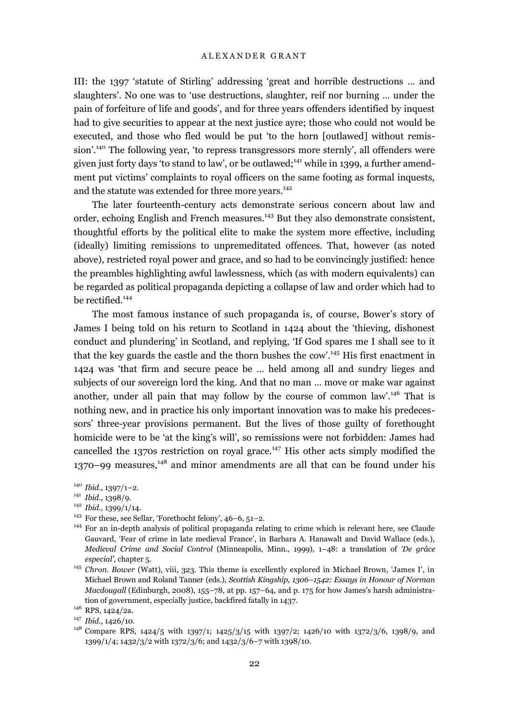III: the 1397 'statute of Stirling' addressing 'great and horrible destructions … and slaughters'. No one was to 'use destructions, slaughter, reif nor burning … under the pain of forfeiture of life and goods', and for three years offenders identified by inquest had to give securities to appear at the next justice ayre; those who could not would be executed, and those who fled would be put 'to the horn [outlawed] without remission'.<sup>140</sup> The following year, 'to repress transgressors more sternly', all offenders were given just forty days 'to stand to law', or be outlawed;<sup>141</sup> while in 1399, a further amendment put victims' complaints to royal officers on the same footing as formal inquests, and the statute was extended for three more years.<sup>142</sup>

The later fourteenth-century acts demonstrate serious concern about law and order, echoing English and French measures.<sup>143</sup> But they also demonstrate consistent, thoughtful efforts by the political elite to make the system more effective, including (ideally) limiting remissions to unpremeditated offences. That, however (as noted above), restricted royal power and grace, and so had to be convincingly justified: hence the preambles highlighting awful lawlessness, which (as with modern equivalents) can be regarded as political propaganda depicting a collapse of law and order which had to be rectified.<sup>144</sup>

The most famous instance of such propaganda is, of course, Bower's story of James I being told on his return to Scotland in 1424 about the 'thieving, dishonest conduct and plundering' in Scotland, and replying, 'If God spares me I shall see to it that the key guards the castle and the thorn bushes the cow'.<sup>145</sup> His first enactment in 1424 was 'that firm and secure peace be … held among all and sundry lieges and subjects of our sovereign lord the king. And that no man … move or make war against another, under all pain that may follow by the course of common law'.<sup>146</sup> That is nothing new, and in practice his only important innovation was to make his predecessors' three-year provisions permanent. But the lives of those guilty of forethought homicide were to be 'at the king's will', so remissions were not forbidden: James had cancelled the 1370s restriction on royal grace.<sup>147</sup> His other acts simply modified the 1370–99 measures, $148$  and minor amendments are all that can be found under his

<sup>140</sup> *Ibid*., 1397/1–2.

<sup>141</sup> *Ibid*., 1398/9.

<sup>142</sup> *Ibid*., 1399/1/14.

<sup>143</sup> For these, see Sellar, 'Forethocht felony', 46–6, 51–2.

<sup>&</sup>lt;sup>144</sup> For an in-depth analysis of political propaganda relating to crime which is relevant here, see Claude Gauvard, 'Fear of crime in late medieval France', in Barbara A. Hanawalt and David Wallace (eds.), *Medieval Crime and Social Control* (Minneapolis, Minn., 1999), 1–48: a translation of *'De grâce especial'*, chapter 5.

<sup>145</sup> *Chron. Bower* (Watt), viii, 323. This theme is excellently explored in Michael Brown, 'James I', in Michael Brown and Roland Tanner (eds.), *Scottish Kingship, 1306–1542: Essays in Honour of Norman Macdougall* (Edinburgh, 2008), 155–78, at pp. 157–64, and p. 175 for how James's harsh administration of government, especially justice, backfired fatally in 1437.

<sup>146</sup> RPS, 1424/2a.

<sup>147</sup> *Ibid*., 1426/10.

<sup>&</sup>lt;sup>148</sup> Compare RPS, 1424/5 with 1397/1; 1425/3/15 with 1397/2; 1426/10 with 1372/3/6, 1398/9, and 1399/1/4; 1432/3/2 with 1372/3/6; and 1432/3/6–7 with 1398/10.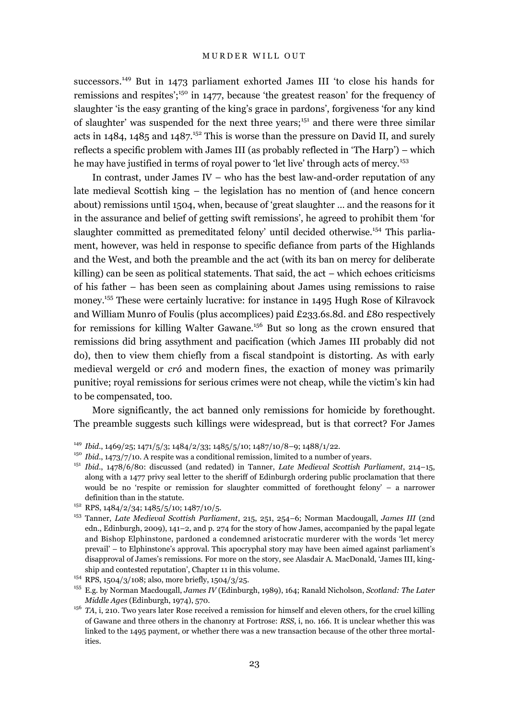successors.<sup>149</sup> But in 1473 parliament exhorted James III 'to close his hands for remissions and respites';<sup>150</sup> in 1477, because 'the greatest reason' for the frequency of slaughter 'is the easy granting of the king's grace in pardons', forgiveness 'for any kind of slaughter' was suspended for the next three years;<sup>151</sup> and there were three similar acts in 1484, 1485 and 1487.<sup>152</sup> This is worse than the pressure on David II, and surely reflects a specific problem with James III (as probably reflected in 'The Harp') – which he may have justified in terms of royal power to 'let live' through acts of mercy.<sup>153</sup>

In contrast, under James IV – who has the best law-and-order reputation of any late medieval Scottish king – the legislation has no mention of (and hence concern about) remissions until 1504, when, because of 'great slaughter … and the reasons for it in the assurance and belief of getting swift remissions', he agreed to prohibit them 'for slaughter committed as premeditated felony' until decided otherwise.<sup>154</sup> This parliament, however, was held in response to specific defiance from parts of the Highlands and the West, and both the preamble and the act (with its ban on mercy for deliberate  $killing$ ) can be seen as political statements. That said, the act – which echoes criticisms of his father – has been seen as complaining about James using remissions to raise money.<sup>155</sup> These were certainly lucrative: for instance in 1495 Hugh Rose of Kilravock and William Munro of Foulis (plus accomplices) paid £233.6s.8d. and £80 respectively for remissions for killing Walter Gawane.<sup>156</sup> But so long as the crown ensured that remissions did bring assythment and pacification (which James III probably did not do), then to view them chiefly from a fiscal standpoint is distorting. As with early medieval wergeld or *cró* and modern fines, the exaction of money was primarily punitive; royal remissions for serious crimes were not cheap, while the victim's kin had to be compensated, too.

More significantly, the act banned only remissions for homicide by forethought. The preamble suggests such killings were widespread, but is that correct? For James

<sup>149</sup> *Ibid*., 1469/25; 1471/5/3; 1484/2/33; 1485/5/10; 1487/10/8–9; 1488/1/22.

<sup>&</sup>lt;sup>150</sup> *Ibid.*, 1473/7/10. A respite was a conditional remission, limited to a number of years.

<sup>151</sup> *Ibid*., 1478/6/80: discussed (and redated) in Tanner, *Late Medieval Scottish Parliament*, 214–15, along with a 1477 privy seal letter to the sheriff of Edinburgh ordering public proclamation that there would be no 'respite or remission for slaughter committed of forethought felony' – a narrower definition than in the statute.

<sup>152</sup> RPS, 1484/2/34; 1485/5/10; 1487/10/5.

<sup>153</sup> Tanner, *Late Medieval Scottish Parliament*, 215, 251, 254–6; Norman Macdougall, *James III* (2nd edn., Edinburgh, 2009), 141–2, and p. 274 for the story of how James, accompanied by the papal legate and Bishop Elphinstone, pardoned a condemned aristocratic murderer with the words 'let mercy prevail' – to Elphinstone's approval. This apocryphal story may have been aimed against parliament's disapproval of James's remissions. For more on the story, see Alasdair A. MacDonald, 'James III, kingship and contested reputation', Chapter 11 in this volume.

<sup>154</sup> RPS, 1504/3/108; also, more briefly, 1504/3/25.

<sup>155</sup> E.g. by Norman Macdougall, *James IV* (Edinburgh, 1989), 164; Ranald Nicholson, *Scotland: The Later Middle Ages* (Edinburgh, 1974), 570.

<sup>&</sup>lt;sup>156</sup> *TA*, i, 210. Two years later Rose received a remission for himself and eleven others, for the cruel killing of Gawane and three others in the chanonry at Fortrose: *RSS*, i, no. 166. It is unclear whether this was linked to the 1495 payment, or whether there was a new transaction because of the other three mortalities.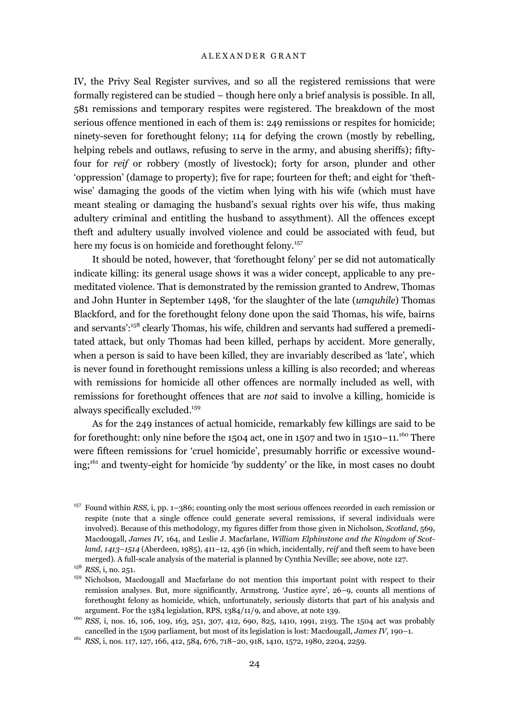IV, the Privy Seal Register survives, and so all the registered remissions that were formally registered can be studied – though here only a brief analysis is possible. In all, 581 remissions and temporary respites were registered. The breakdown of the most serious offence mentioned in each of them is: 249 remissions or respites for homicide; ninety-seven for forethought felony; 114 for defying the crown (mostly by rebelling, helping rebels and outlaws, refusing to serve in the army, and abusing sheriffs); fiftyfour for *reif* or robbery (mostly of livestock); forty for arson, plunder and other 'oppression' (damage to property); five for rape; fourteen for theft; and eight for 'theftwise' damaging the goods of the victim when lying with his wife (which must have meant stealing or damaging the husband's sexual rights over his wife, thus making adultery criminal and entitling the husband to assythment). All the offences except theft and adultery usually involved violence and could be associated with feud, but here my focus is on homicide and forethought felony.<sup>157</sup>

It should be noted, however, that 'forethought felony' per se did not automatically indicate killing: its general usage shows it was a wider concept, applicable to any premeditated violence. That is demonstrated by the remission granted to Andrew, Thomas and John Hunter in September 1498, 'for the slaughter of the late (*umquhile*) Thomas Blackford, and for the forethought felony done upon the said Thomas, his wife, bairns and servants':<sup>158</sup> clearly Thomas, his wife, children and servants had suffered a premeditated attack, but only Thomas had been killed, perhaps by accident. More generally, when a person is said to have been killed, they are invariably described as 'late', which is never found in forethought remissions unless a killing is also recorded; and whereas with remissions for homicide all other offences are normally included as well, with remissions for forethought offences that are *not* said to involve a killing, homicide is always specifically excluded.<sup>159</sup>

As for the 249 instances of actual homicide, remarkably few killings are said to be for forethought: only nine before the 1504 act, one in 1507 and two in 1510–11.<sup>160</sup> There were fifteen remissions for 'cruel homicide', presumably horrific or excessive wounding;<sup>161</sup> and twenty-eight for homicide 'by suddenty' or the like, in most cases no doubt

<sup>157</sup> Found within *RSS*, i, pp. 1–386; counting only the most serious offences recorded in each remission or respite (note that a single offence could generate several remissions, if several individuals were involved). Because of this methodology, my figures differ from those given in Nicholson, *Scotland*, 569, Macdougall, *James IV*, 164, and Leslie J. Macfarlane, *William Elphinstone and the Kingdom of Scotland, 1413–1514* (Aberdeen, 1985), 411–12, 436 (in which, incidentally, *reif* and theft seem to have been merged). A full-scale analysis of the material is planned by Cynthia Neville; see above, note 127.

<sup>158</sup> *RSS*, i, no. 251.

<sup>&</sup>lt;sup>159</sup> Nicholson, Macdougall and Macfarlane do not mention this important point with respect to their remission analyses. But, more significantly, Armstrong, 'Justice ayre', 26–9, counts all mentions of forethought felony as homicide, which, unfortunately, seriously distorts that part of his analysis and argument. For the 1384 legislation, RPS, 1384/11/9, and above, at note 139.

<sup>&</sup>lt;sup>160</sup> *RSS*, i, nos. 16, 106, 109, 163, 251, 307, 412, 690, 825, 1410, 1991, 2193. The 1504 act was probably cancelled in the 1509 parliament, but most of its legislation is lost: Macdougall, *James IV*, 190–1.

<sup>161</sup> *RSS*, i, nos. 117, 127, 166, 412, 584, 676, 718–20, 918, 1410, 1572, 1980, 2204, 2259.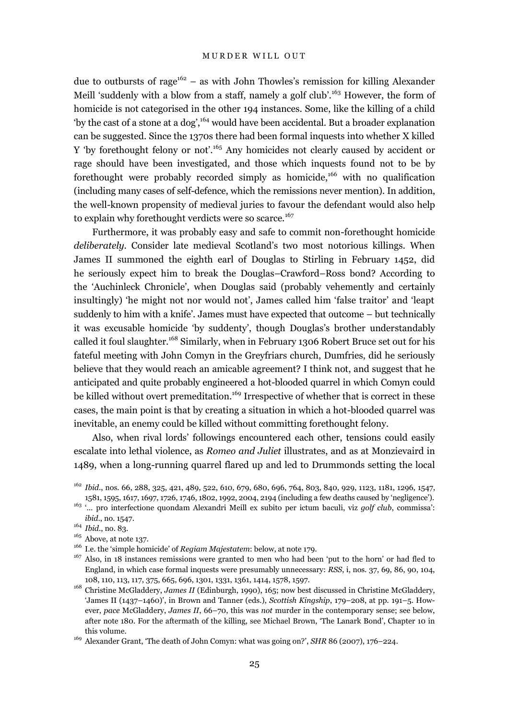due to outbursts of rage<sup>162</sup> – as with John Thowles's remission for killing Alexander Meill 'suddenly with a blow from a staff, namely a golf club'.<sup>163</sup> However, the form of homicide is not categorised in the other 194 instances. Some, like the killing of a child 'by the cast of a stone at a dog',<sup>164</sup> would have been accidental. But a broader explanation can be suggested. Since the 1370s there had been formal inquests into whether X killed Y 'by forethought felony or not'.<sup>165</sup> Any homicides not clearly caused by accident or rage should have been investigated, and those which inquests found not to be by forethought were probably recorded simply as homicide,<sup>166</sup> with no qualification (including many cases of self-defence, which the remissions never mention). In addition, the well-known propensity of medieval juries to favour the defendant would also help to explain why forethought verdicts were so scarce.<sup>167</sup>

Furthermore, it was probably easy and safe to commit non-forethought homicide *deliberately*. Consider late medieval Scotland's two most notorious killings. When James II summoned the eighth earl of Douglas to Stirling in February 1452, did he seriously expect him to break the Douglas–Crawford–Ross bond? According to the 'Auchinleck Chronicle', when Douglas said (probably vehemently and certainly insultingly) 'he might not nor would not', James called him 'false traitor' and 'leapt suddenly to him with a knife'. James must have expected that outcome – but technically it was excusable homicide 'by suddenty', though Douglas's brother understandably called it foul slaughter.<sup>168</sup> Similarly, when in February 1306 Robert Bruce set out for his fateful meeting with John Comyn in the Greyfriars church, Dumfries, did he seriously believe that they would reach an amicable agreement? I think not, and suggest that he anticipated and quite probably engineered a hot-blooded quarrel in which Comyn could be killed without overt premeditation.<sup>169</sup> Irrespective of whether that is correct in these cases, the main point is that by creating a situation in which a hot-blooded quarrel was inevitable, an enemy could be killed without committing forethought felony.

Also, when rival lords' followings encountered each other, tensions could easily escalate into lethal violence, as *Romeo and Juliet* illustrates, and as at Monzievaird in 1489, when a long-running quarrel flared up and led to Drummonds setting the local

<sup>162</sup> *Ibid*., nos. 66, 288, 325, 421, 489, 522, 610, 679, 680, 696, 764, 803, 840, 929, 1123, 1181, 1296, 1547, 1581, 1595, 1617, 1697, 1726, 1746, 1802, 1992, 2004, 2194 (including a few deaths caused by 'negligence').

<sup>163</sup> '… pro interfectione quondam Alexandri Meill ex subito per ictum baculi, viz *golf club*, commissa': *ibid*., no. 1547.

<sup>164</sup> *Ibid*., no. 83.

 $165$  Above, at note 137.

<sup>166</sup> I.e. the 'simple homicide' of *Regiam Majestatem*: below, at note 179.

<sup>&</sup>lt;sup>167</sup> Also, in 18 instances remissions were granted to men who had been 'put to the horn' or had fled to England, in which case formal inquests were presumably unnecessary: *RSS*, i, nos. 37, 69, 86, 90, 104, 108, 110, 113, 117, 375, 665, 696, 1301, 1331, 1361, 1414, 1578, 1597.

<sup>&</sup>lt;sup>168</sup> Christine McGladdery, *James II* (Edinburgh, 1990), 165; now best discussed in Christine McGladdery, 'James II (1437–1460)', in Brown and Tanner (eds.), *Scottish Kingship*, 179–208, at pp. 191–5. However, *pace* McGladdery, *James II*, 66–70, this was *not* murder in the contemporary sense; see below, after note 180. For the aftermath of the killing, see Michael Brown, 'The Lanark Bond', Chapter 10 in this volume.

<sup>&</sup>lt;sup>169</sup> Alexander Grant, 'The death of John Comyn: what was going on?', *SHR* 86 (2007), 176-224.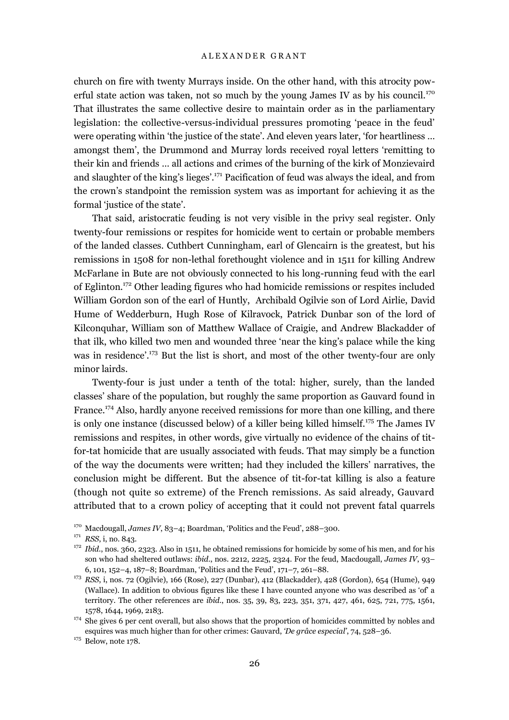church on fire with twenty Murrays inside. On the other hand, with this atrocity powerful state action was taken, not so much by the young James IV as by his council.<sup>170</sup> That illustrates the same collective desire to maintain order as in the parliamentary legislation: the collective-versus-individual pressures promoting 'peace in the feud' were operating within 'the justice of the state'. And eleven years later, 'for heartliness … amongst them', the Drummond and Murray lords received royal letters 'remitting to their kin and friends … all actions and crimes of the burning of the kirk of Monzievaird and slaughter of the king's lieges'.<sup>171</sup> Pacification of feud was always the ideal, and from the crown's standpoint the remission system was as important for achieving it as the formal 'justice of the state'.

That said, aristocratic feuding is not very visible in the privy seal register. Only twenty-four remissions or respites for homicide went to certain or probable members of the landed classes. Cuthbert Cunningham, earl of Glencairn is the greatest, but his remissions in 1508 for non-lethal forethought violence and in 1511 for killing Andrew McFarlane in Bute are not obviously connected to his long-running feud with the earl of Eglinton.<sup>172</sup> Other leading figures who had homicide remissions or respites included William Gordon son of the earl of Huntly, Archibald Ogilvie son of Lord Airlie, David Hume of Wedderburn, Hugh Rose of Kilravock, Patrick Dunbar son of the lord of Kilconquhar, William son of Matthew Wallace of Craigie, and Andrew Blackadder of that ilk, who killed two men and wounded three 'near the king's palace while the king was in residence'.<sup>173</sup> But the list is short, and most of the other twenty-four are only minor lairds.

Twenty-four is just under a tenth of the total: higher, surely, than the landed classes' share of the population, but roughly the same proportion as Gauvard found in France.<sup>174</sup> Also, hardly anyone received remissions for more than one killing, and there is only one instance (discussed below) of a killer being killed himself.<sup>175</sup> The James IV remissions and respites, in other words, give virtually no evidence of the chains of titfor-tat homicide that are usually associated with feuds. That may simply be a function of the way the documents were written; had they included the killers' narratives, the conclusion might be different. But the absence of tit-for-tat killing is also a feature (though not quite so extreme) of the French remissions. As said already, Gauvard attributed that to a crown policy of accepting that it could not prevent fatal quarrels

<sup>&</sup>lt;sup>170</sup> Macdougall, *James IV*, 83-4; Boardman, 'Politics and the Feud', 288-300.

<sup>171</sup> *RSS*, i, no. 843.

<sup>&</sup>lt;sup>172</sup> *Ibid.*, nos. 360, 2323. Also in 1511, he obtained remissions for homicide by some of his men, and for his son who had sheltered outlaws: *ibid*., nos. 2212, 2225, 2324. For the feud, Macdougall, *James IV*, 93– 6, 101, 152–4, 187–8; Boardman, 'Politics and the Feud', 171–7, 261–88.

<sup>173</sup> *RSS*, i, nos. 72 (Ogilvie), 166 (Rose), 227 (Dunbar), 412 (Blackadder), 428 (Gordon), 654 (Hume), 949 (Wallace). In addition to obvious figures like these I have counted anyone who was described as 'of' a territory. The other references are *ibid.*, nos. 35, 39, 83, 223, 351, 371, 427, 461, 625, 721, 775, 1561, 1578, 1644, 1969, 2183.

<sup>&</sup>lt;sup>174</sup> She gives 6 per cent overall, but also shows that the proportion of homicides committed by nobles and esquires was much higher than for other crimes: Gauvard, *'De grâce especial'*, 74, 528–36.

 $^{175}\,$  Below, note 178.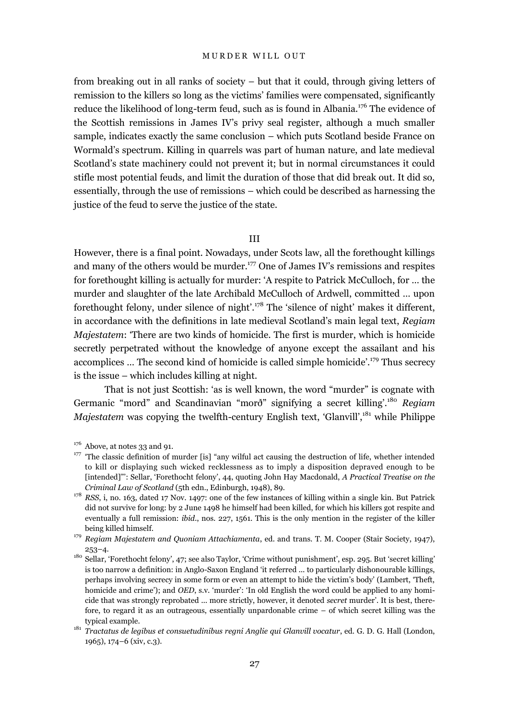from breaking out in all ranks of society – but that it could, through giving letters of remission to the killers so long as the victims' families were compensated, significantly reduce the likelihood of long-term feud, such as is found in Albania.<sup>176</sup> The evidence of the Scottish remissions in James IV's privy seal register, although a much smaller sample, indicates exactly the same conclusion – which puts Scotland beside France on Wormald's spectrum. Killing in quarrels was part of human nature, and late medieval Scotland's state machinery could not prevent it; but in normal circumstances it could stifle most potential feuds, and limit the duration of those that did break out. It did so, essentially, through the use of remissions – which could be described as harnessing the justice of the feud to serve the justice of the state.

III

However, there is a final point. Nowadays, under Scots law, all the forethought killings and many of the others would be murder.<sup>177</sup> One of James IV's remissions and respites for forethought killing is actually for murder: 'A respite to Patrick McCulloch, for … the murder and slaughter of the late Archibald McCulloch of Ardwell, committed … upon forethought felony, under silence of night'.<sup>178</sup> The 'silence of night' makes it different, in accordance with the definitions in late medieval Scotland's main legal text, *Regiam Majestatem*: 'There are two kinds of homicide. The first is murder, which is homicide secretly perpetrated without the knowledge of anyone except the assailant and his accomplices ... The second kind of homicide is called simple homicide'.<sup>179</sup> Thus secrecy is the issue – which includes killing at night.

That is not just Scottish: 'as is well known, the word "murder" is cognate with Germanic "mord" and Scandinavian "morð" signifying a secret killing'.<sup>180</sup> *Regiam Majestatem* was copying the twelfth-century English text, 'Glanvill',<sup>181</sup> while Philippe

 $176$  Above, at notes 33 and 91.

<sup>&</sup>lt;sup>177</sup> 'The classic definition of murder [is] "any wilful act causing the destruction of life, whether intended to kill or displaying such wicked recklessness as to imply a disposition depraved enough to be [intended]"': Sellar, 'Forethocht felony', 44, quoting John Hay Macdonald, *A Practical Treatise on the Criminal Law of Scotland* (5th edn., Edinburgh, 1948), 89.

<sup>&</sup>lt;sup>178</sup> *RSS*, i, no. 163, dated 17 Nov. 1497: one of the few instances of killing within a single kin. But Patrick did not survive for long: by 2 June 1498 he himself had been killed, for which his killers got respite and eventually a full remission: *ibid*., nos. 227, 1561. This is the only mention in the register of the killer being killed himself.

<sup>179</sup> *Regiam Majestatem and Quoniam Attachiamenta*, ed. and trans. T. M. Cooper (Stair Society, 1947), 253–4.

<sup>&</sup>lt;sup>180</sup> Sellar, 'Forethocht felony', 47; see also Taylor, 'Crime without punishment', esp. 295. But 'secret killing' is too narrow a definition: in Anglo-Saxon England 'it referred ... to particularly dishonourable killings, perhaps involving secrecy in some form or even an attempt to hide the victim's body' (Lambert, 'Theft, homicide and crime'); and *OED*, s.v. 'murder': 'In old English the word could be applied to any homicide that was strongly reprobated ... more strictly, however, it denoted *secret* murder'. It is best, therefore, to regard it as an outrageous, essentially unpardonable crime – of which secret killing was the typical example.

<sup>&</sup>lt;sup>181</sup> Tractatus de legibus et consuetudinibus regni Anglie qui Glanvill vocatur, ed. G. D. G. Hall (London, 1965), 174–6 (xiv, c.3).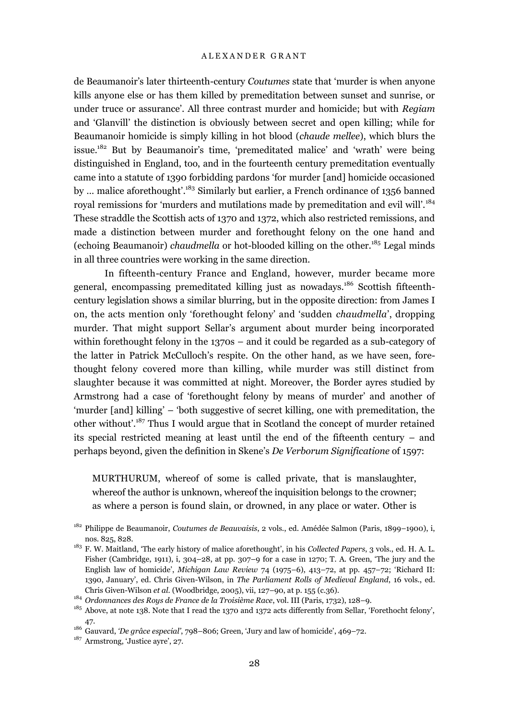de Beaumanoir's later thirteenth-century *Coutumes* state that 'murder is when anyone kills anyone else or has them killed by premeditation between sunset and sunrise, or under truce or assurance'. All three contrast murder and homicide; but with *Regiam* and 'Glanvill' the distinction is obviously between secret and open killing; while for Beaumanoir homicide is simply killing in hot blood (*chaude mellee*), which blurs the issue.<sup>182</sup> But by Beaumanoir's time, 'premeditated malice' and 'wrath' were being distinguished in England, too, and in the fourteenth century premeditation eventually came into a statute of 1390 forbidding pardons 'for murder [and] homicide occasioned by ... malice aforethought'.<sup>183</sup> Similarly but earlier, a French ordinance of 1356 banned royal remissions for 'murders and mutilations made by premeditation and evil will'.<sup>184</sup> These straddle the Scottish acts of 1370 and 1372, which also restricted remissions, and made a distinction between murder and forethought felony on the one hand and (echoing Beaumanoir) *chaudmella* or hot-blooded killing on the other.<sup>185</sup> Legal minds in all three countries were working in the same direction.

In fifteenth-century France and England, however, murder became more general, encompassing premeditated killing just as nowadays.<sup>186</sup> Scottish fifteenthcentury legislation shows a similar blurring, but in the opposite direction: from James I on, the acts mention only 'forethought felony' and 'sudden *chaudmella*', dropping murder. That might support Sellar's argument about murder being incorporated within forethought felony in the 1370s – and it could be regarded as a sub-category of the latter in Patrick McCulloch's respite. On the other hand, as we have seen, forethought felony covered more than killing, while murder was still distinct from slaughter because it was committed at night. Moreover, the Border ayres studied by Armstrong had a case of 'forethought felony by means of murder' and another of 'murder [and] killing' – 'both suggestive of secret killing, one with premeditation, the other without'.<sup>187</sup> Thus I would argue that in Scotland the concept of murder retained its special restricted meaning at least until the end of the fifteenth century – and perhaps beyond, given the definition in Skene's *De Verborum Significatione* of 1597:

MURTHURUM, whereof of some is called private, that is manslaughter, whereof the author is unknown, whereof the inquisition belongs to the crowner; as where a person is found slain, or drowned, in any place or water. Other is

<sup>183</sup> F. W. Maitland, 'The early history of malice aforethought', in his *Collected Papers*, 3 vols., ed. H. A. L. Fisher (Cambridge, 1911), i, 304–28, at pp. 307–9 for a case in 1270; T. A. Green, 'The jury and the English law of homicide', *Michigan Law Review* 74 (1975–6), 413–72, at pp. 457–72; 'Richard II: 1390, January', ed. Chris Given-Wilson, in *The Parliament Rolls of Medieval England*, 16 vols., ed. Chris Given-Wilson *et al.* (Woodbridge, 2005), vii, 127–90, at p. 155 (c.36).

<sup>182</sup> Philippe de Beaumanoir, *Coutumes de Beauvaisis*, 2 vols., ed. Amédée Salmon (Paris, 1899–1900), i, nos. 825, 828.

<sup>184</sup> *Ordonnances des Roys de France de la Troisième Race*, vol. III (Paris, 1732), 128–9.

<sup>&</sup>lt;sup>185</sup> Above, at note 138. Note that I read the 1370 and 1372 acts differently from Sellar, 'Forethocht felony', 47.

<sup>186</sup> Gauvard, *'De grâce especial'*, 798–806; Green, 'Jury and law of homicide', 469–72.

<sup>187</sup> Armstrong, 'Justice ayre', 27.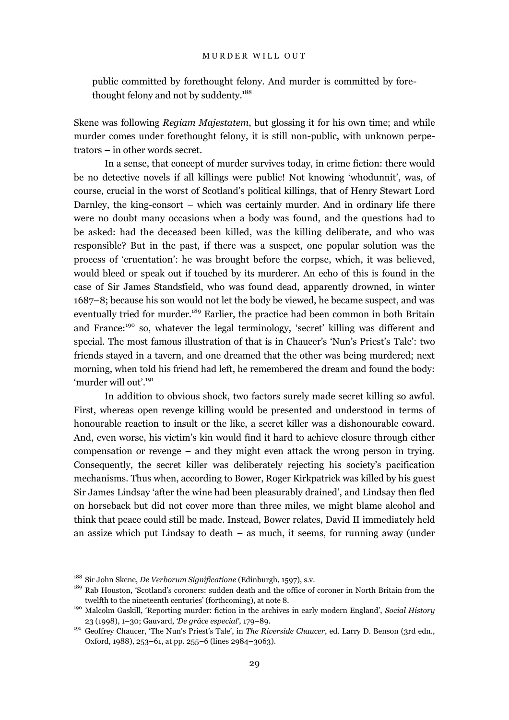public committed by forethought felony. And murder is committed by forethought felony and not by suddenty.<sup>188</sup>

Skene was following *Regiam Majestatem*, but glossing it for his own time; and while murder comes under forethought felony, it is still non-public, with unknown perpetrators – in other words secret.

In a sense, that concept of murder survives today, in crime fiction: there would be no detective novels if all killings were public! Not knowing 'whodunnit', was, of course, crucial in the worst of Scotland's political killings, that of Henry Stewart Lord Darnley, the king-consort – which was certainly murder. And in ordinary life there were no doubt many occasions when a body was found, and the questions had to be asked: had the deceased been killed, was the killing deliberate, and who was responsible? But in the past, if there was a suspect, one popular solution was the process of 'cruentation': he was brought before the corpse, which, it was believed, would bleed or speak out if touched by its murderer. An echo of this is found in the case of Sir James Standsfield, who was found dead, apparently drowned, in winter 1687–8; because his son would not let the body be viewed, he became suspect, and was eventually tried for murder.<sup>189</sup> Earlier, the practice had been common in both Britain and France:<sup>190</sup> so, whatever the legal terminology, 'secret' killing was different and special. The most famous illustration of that is in Chaucer's 'Nun's Priest's Tale': two friends stayed in a tavern, and one dreamed that the other was being murdered; next morning, when told his friend had left, he remembered the dream and found the body: 'murder will out'.<sup>191</sup>

In addition to obvious shock, two factors surely made secret killing so awful. First, whereas open revenge killing would be presented and understood in terms of honourable reaction to insult or the like, a secret killer was a dishonourable coward. And, even worse, his victim's kin would find it hard to achieve closure through either compensation or revenge – and they might even attack the wrong person in trying. Consequently, the secret killer was deliberately rejecting his society's pacification mechanisms. Thus when, according to Bower, Roger Kirkpatrick was killed by his guest Sir James Lindsay 'after the wine had been pleasurably drained', and Lindsay then fled on horseback but did not cover more than three miles, we might blame alcohol and think that peace could still be made. Instead, Bower relates, David II immediately held an assize which put Lindsay to death – as much, it seems, for running away (under

<sup>188</sup> Sir John Skene, *De Verborum Significatione* (Edinburgh, 1597), s.v.

<sup>&</sup>lt;sup>189</sup> Rab Houston, 'Scotland's coroners: sudden death and the office of coroner in North Britain from the twelfth to the nineteenth centuries' (forthcoming), at note 8.

<sup>190</sup> Malcolm Gaskill, 'Reporting murder: fiction in the archives in early modern England', *Social History* 23 (1998), 1–30; Gauvard, *'De grâce especial'*, 179–89.

<sup>&</sup>lt;sup>191</sup> Geoffrey Chaucer, 'The Nun's Priest's Tale', in *The Riverside Chaucer*, ed. Larry D. Benson (3rd edn., Oxford, 1988), 253–61, at pp. 255–6 (lines 2984–3063).